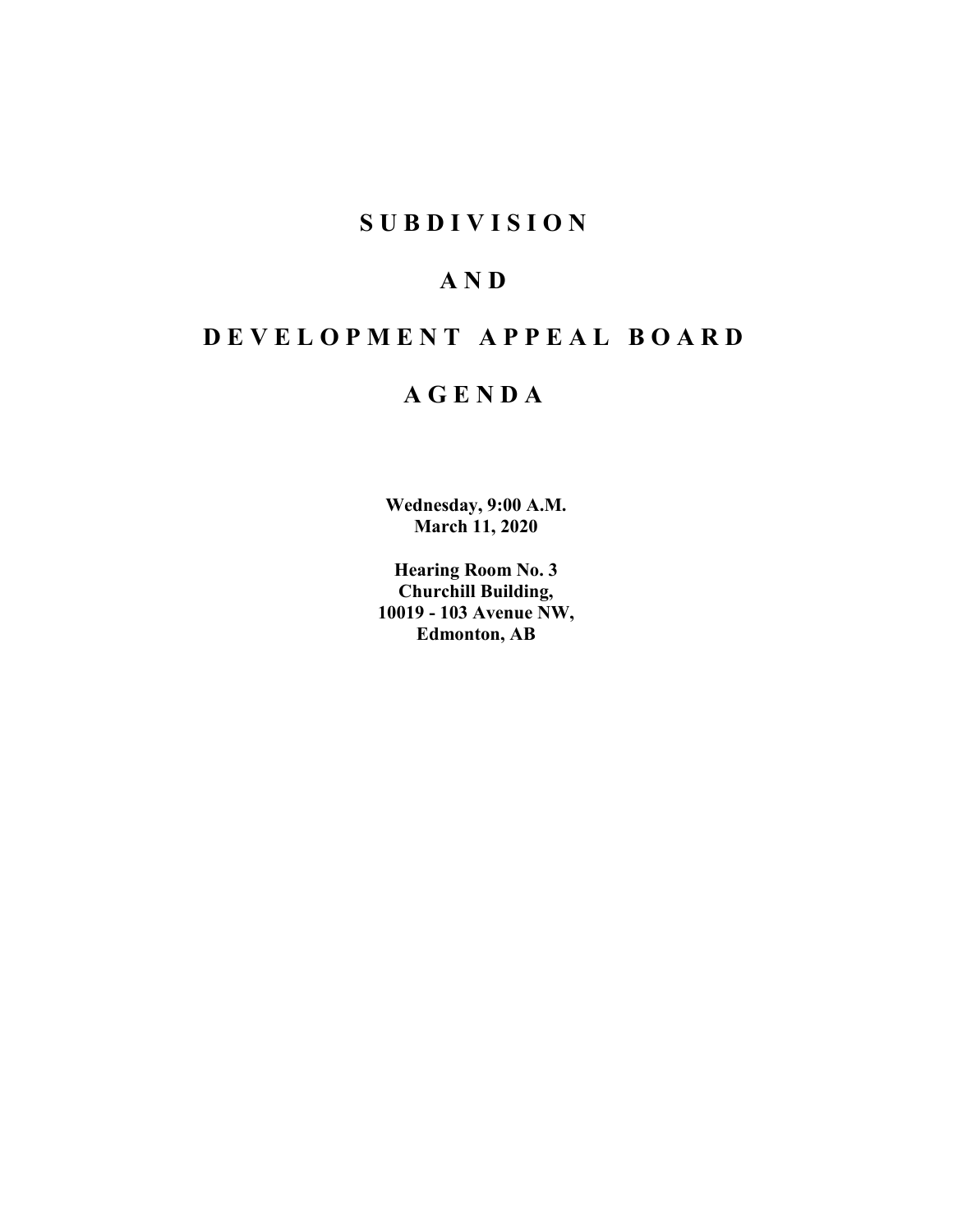## **SUBDIVISION**

# **AND**

# **DEVELOPMENT APPEAL BOARD**

## **AGENDA**

**Wednesday, 9:00 A.M. March 11, 2020**

**Hearing Room No. 3 Churchill Building, 10019 - 103 Avenue NW, Edmonton, AB**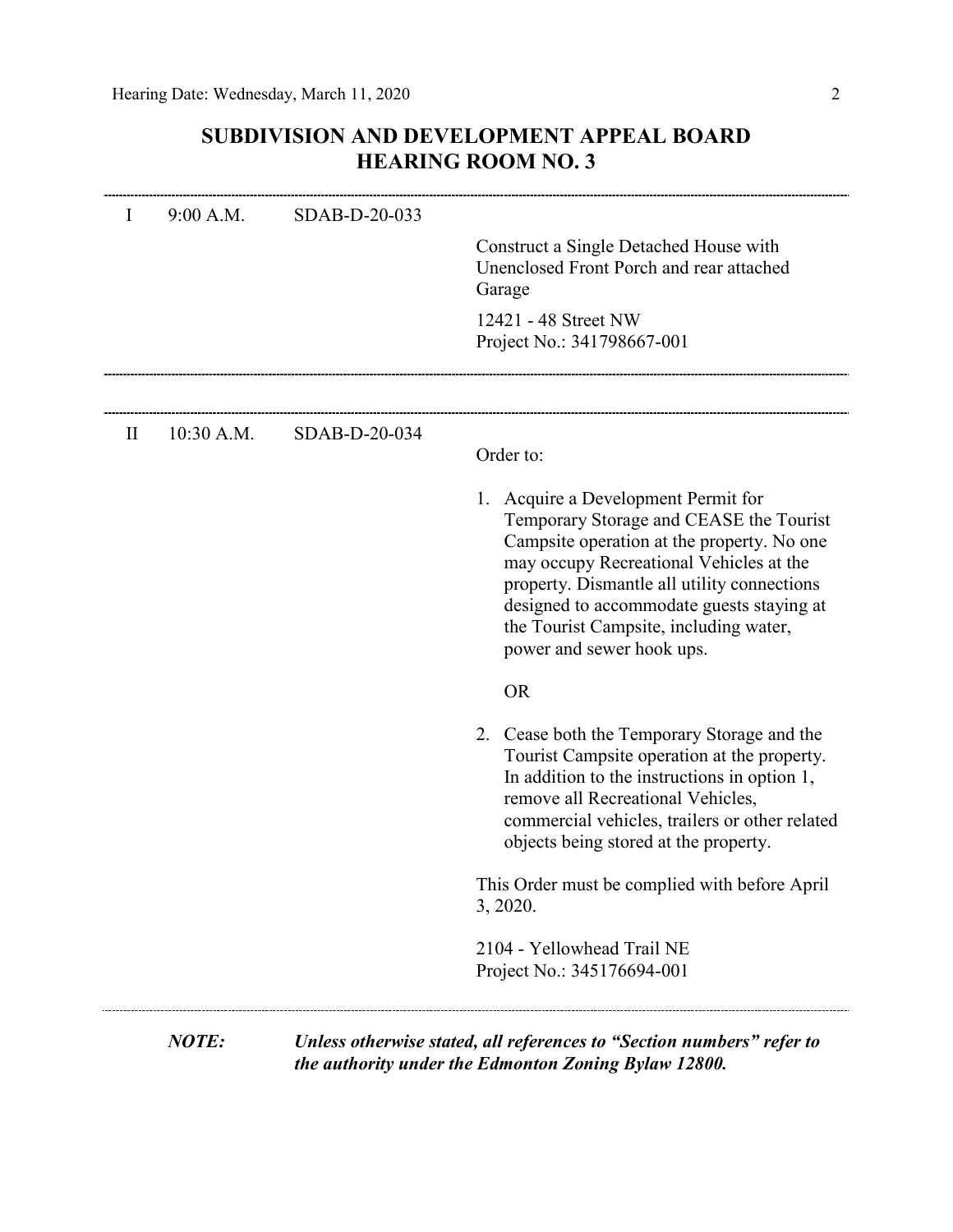## **SUBDIVISION AND DEVELOPMENT APPEAL BOARD HEARING ROOM NO. 3**

| I            | 9:00 A.M.    | SDAB-D-20-033 | Construct a Single Detached House with<br>Unenclosed Front Porch and rear attached<br>Garage                                                                                                                                                                                                                                               |
|--------------|--------------|---------------|--------------------------------------------------------------------------------------------------------------------------------------------------------------------------------------------------------------------------------------------------------------------------------------------------------------------------------------------|
|              |              |               | 12421 - 48 Street NW<br>Project No.: 341798667-001                                                                                                                                                                                                                                                                                         |
|              |              |               |                                                                                                                                                                                                                                                                                                                                            |
| $\mathbf{I}$ | $10:30$ A.M. | SDAB-D-20-034 | Order to:                                                                                                                                                                                                                                                                                                                                  |
|              |              |               | 1. Acquire a Development Permit for<br>Temporary Storage and CEASE the Tourist<br>Campsite operation at the property. No one<br>may occupy Recreational Vehicles at the<br>property. Dismantle all utility connections<br>designed to accommodate guests staying at<br>the Tourist Campsite, including water,<br>power and sewer hook ups. |
|              |              |               | <b>OR</b>                                                                                                                                                                                                                                                                                                                                  |
|              |              |               | 2. Cease both the Temporary Storage and the<br>Tourist Campsite operation at the property.<br>In addition to the instructions in option 1,<br>remove all Recreational Vehicles,<br>commercial vehicles, trailers or other related<br>objects being stored at the property.                                                                 |
|              |              |               | This Order must be complied with before April<br>3, 2020.                                                                                                                                                                                                                                                                                  |
|              |              |               | 2104 - Yellowhead Trail NE<br>Project No.: 345176694-001                                                                                                                                                                                                                                                                                   |

*the authority under the Edmonton Zoning Bylaw 12800.*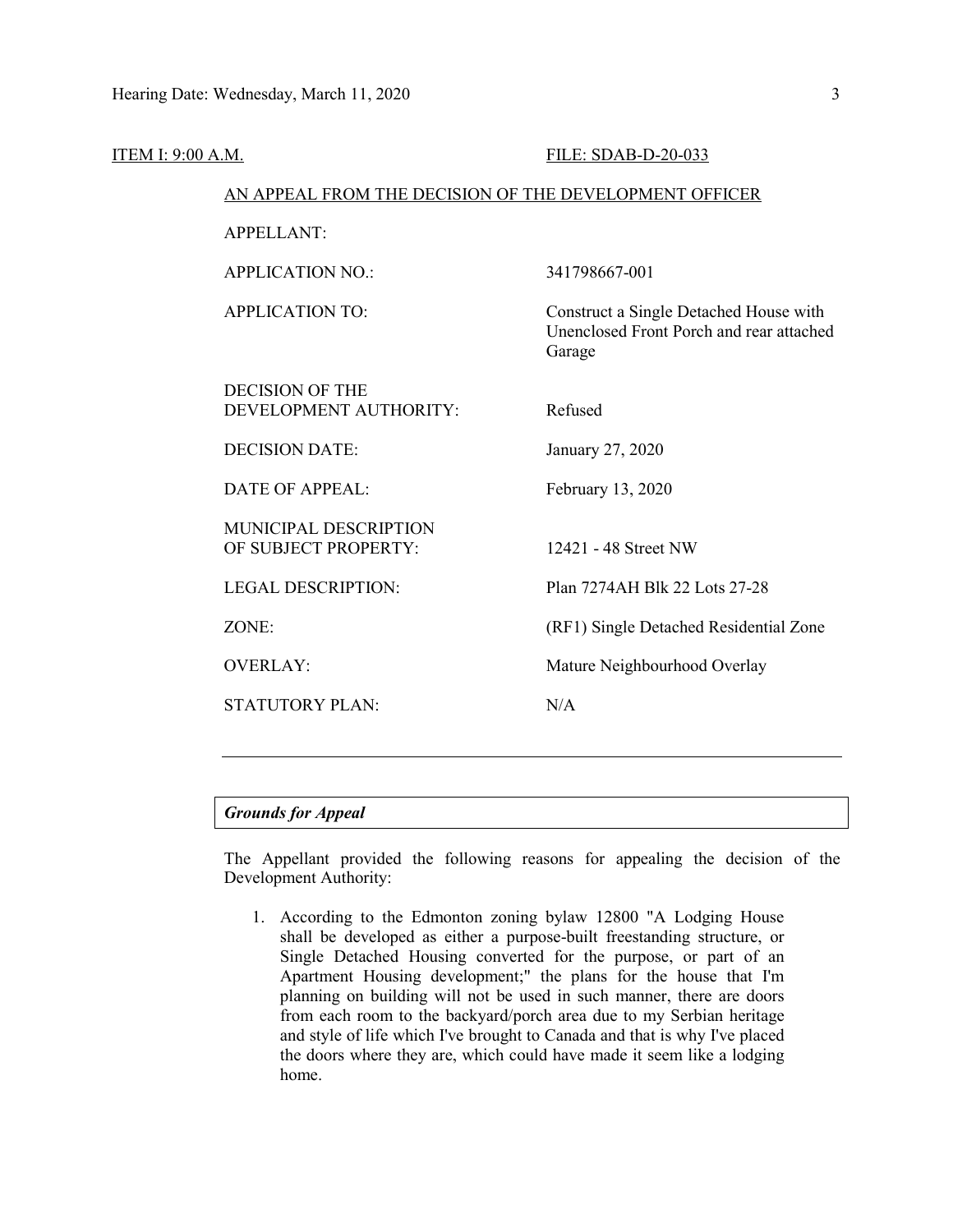| <b>ITEM I: 9:00 A.M.</b> |                                                        | FILE: SDAB-D-20-033                                                                          |  |  |
|--------------------------|--------------------------------------------------------|----------------------------------------------------------------------------------------------|--|--|
|                          | AN APPEAL FROM THE DECISION OF THE DEVELOPMENT OFFICER |                                                                                              |  |  |
|                          | <b>APPELLANT:</b>                                      |                                                                                              |  |  |
|                          | <b>APPLICATION NO.:</b>                                | 341798667-001                                                                                |  |  |
|                          | <b>APPLICATION TO:</b>                                 | Construct a Single Detached House with<br>Unenclosed Front Porch and rear attached<br>Garage |  |  |
|                          | <b>DECISION OF THE</b><br>DEVELOPMENT AUTHORITY:       | Refused                                                                                      |  |  |
|                          | <b>DECISION DATE:</b>                                  | January 27, 2020                                                                             |  |  |
|                          | <b>DATE OF APPEAL:</b>                                 | February 13, 2020                                                                            |  |  |
|                          | MUNICIPAL DESCRIPTION<br>OF SUBJECT PROPERTY:          | 12421 - 48 Street NW                                                                         |  |  |
|                          | <b>LEGAL DESCRIPTION:</b>                              | Plan 7274AH Blk 22 Lots 27-28                                                                |  |  |
|                          | ZONE:                                                  | (RF1) Single Detached Residential Zone                                                       |  |  |
|                          | <b>OVERLAY:</b>                                        | Mature Neighbourhood Overlay                                                                 |  |  |
|                          | <b>STATUTORY PLAN:</b>                                 | N/A                                                                                          |  |  |
|                          |                                                        |                                                                                              |  |  |

### *Grounds for Appeal*

The Appellant provided the following reasons for appealing the decision of the Development Authority:

1. According to the Edmonton zoning bylaw 12800 "A Lodging House shall be developed as either a purpose-built freestanding structure, or Single Detached Housing converted for the purpose, or part of an Apartment Housing development;" the plans for the house that I'm planning on building will not be used in such manner, there are doors from each room to the backyard/porch area due to my Serbian heritage and style of life which I've brought to Canada and that is why I've placed the doors where they are, which could have made it seem like a lodging home.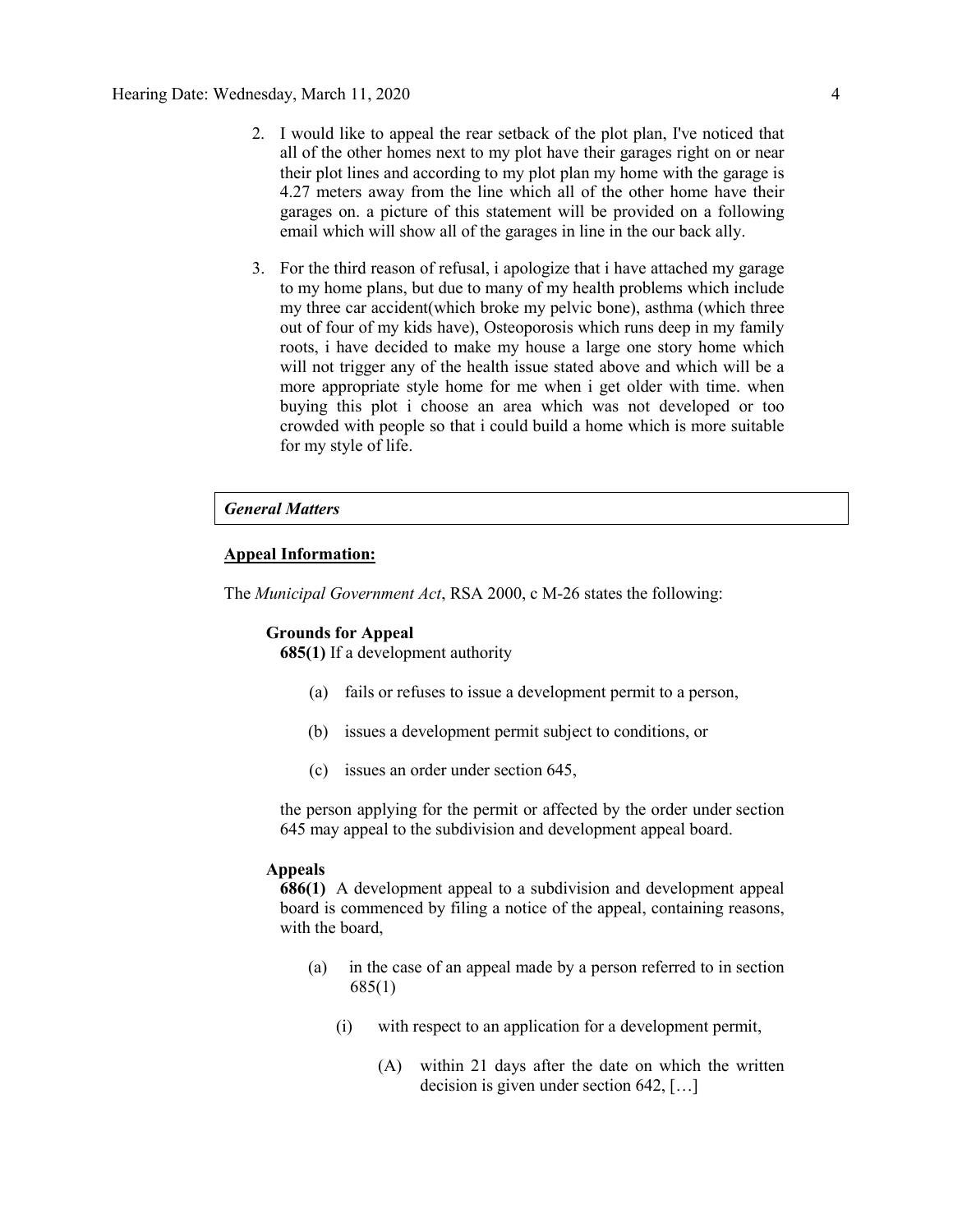- 2. I would like to appeal the rear setback of the plot plan, I've noticed that all of the other homes next to my plot have their garages right on or near their plot lines and according to my plot plan my home with the garage is 4.27 meters away from the line which all of the other home have their garages on. a picture of this statement will be provided on a following email which will show all of the garages in line in the our back ally.
- 3. For the third reason of refusal, i apologize that i have attached my garage to my home plans, but due to many of my health problems which include my three car accident(which broke my pelvic bone), asthma (which three out of four of my kids have), Osteoporosis which runs deep in my family roots, i have decided to make my house a large one story home which will not trigger any of the health issue stated above and which will be a more appropriate style home for me when i get older with time. when buying this plot i choose an area which was not developed or too crowded with people so that i could build a home which is more suitable for my style of life.

### *General Matters*

### **Appeal Information:**

The *Municipal Government Act*, RSA 2000, c M-26 states the following:

### **Grounds for Appeal**

**685(1)** If a development authority

- (a) fails or refuses to issue a development permit to a person,
- (b) issues a development permit subject to conditions, or
- (c) issues an order under section 645,

the person applying for the permit or affected by the order under section 645 may appeal to the subdivision and development appeal board.

### **Appeals**

**686(1)** A development appeal to a subdivision and development appeal board is commenced by filing a notice of the appeal, containing reasons, with the board,

- (a) in the case of an appeal made by a person referred to in section 685(1)
	- (i) with respect to an application for a development permit,
		- (A) within 21 days after the date on which the written decision is given under section 642, […]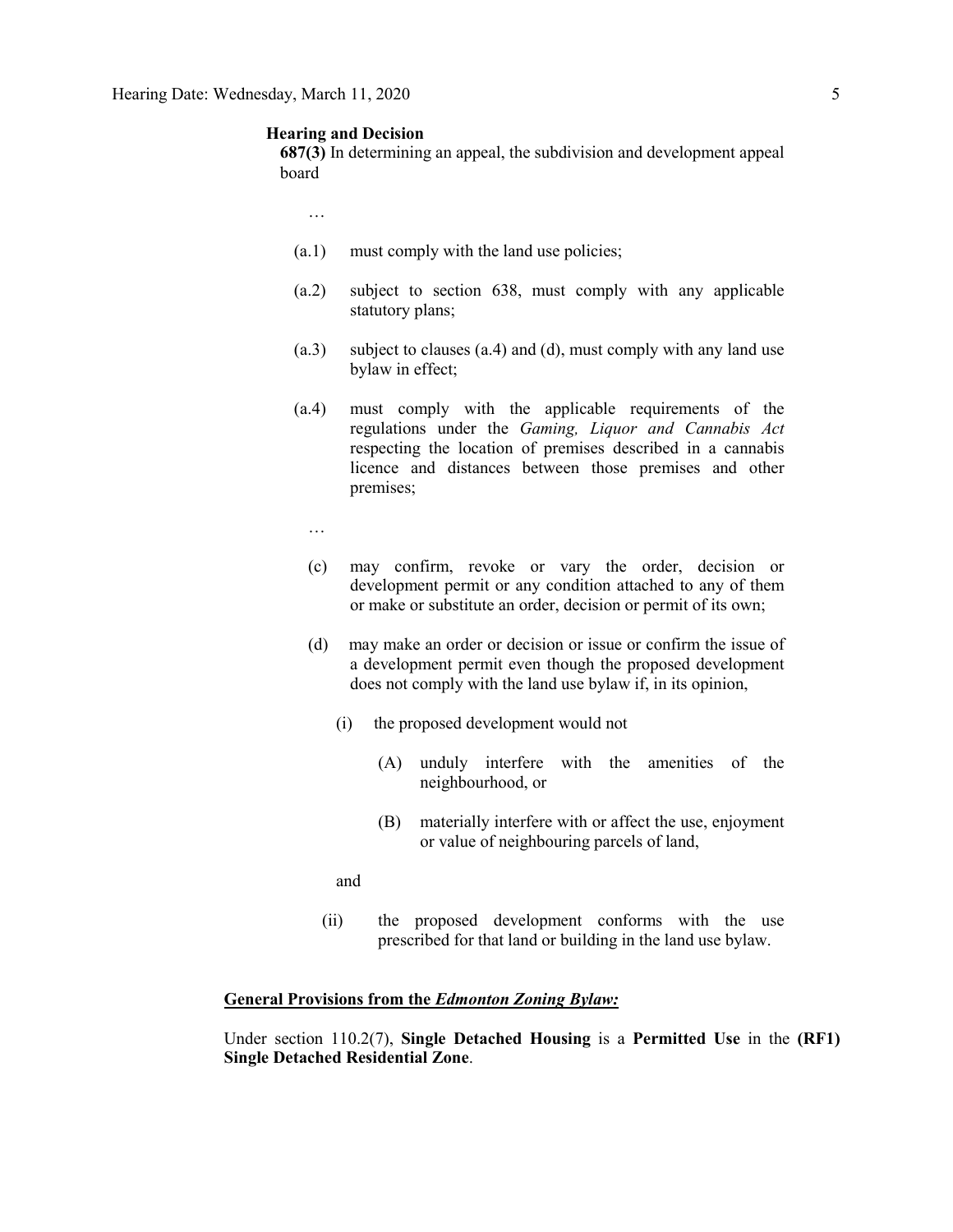### **Hearing and Decision**

**687(3)** In determining an appeal, the subdivision and development appeal board

…

- (a.1) must comply with the land use policies;
- (a.2) subject to section 638, must comply with any applicable statutory plans;
- (a.3) subject to clauses (a.4) and (d), must comply with any land use bylaw in effect;
- (a.4) must comply with the applicable requirements of the regulations under the *Gaming, Liquor and Cannabis Act* respecting the location of premises described in a cannabis licence and distances between those premises and other premises;
	- …
	- (c) may confirm, revoke or vary the order, decision or development permit or any condition attached to any of them or make or substitute an order, decision or permit of its own;
	- (d) may make an order or decision or issue or confirm the issue of a development permit even though the proposed development does not comply with the land use bylaw if, in its opinion,
		- (i) the proposed development would not
			- (A) unduly interfere with the amenities of the neighbourhood, or
			- (B) materially interfere with or affect the use, enjoyment or value of neighbouring parcels of land,

and

(ii) the proposed development conforms with the use prescribed for that land or building in the land use bylaw.

### **General Provisions from the** *Edmonton Zoning Bylaw:*

Under section 110.2(7), **Single Detached Housing** is a **Permitted Use** in the **(RF1) Single Detached Residential Zone**.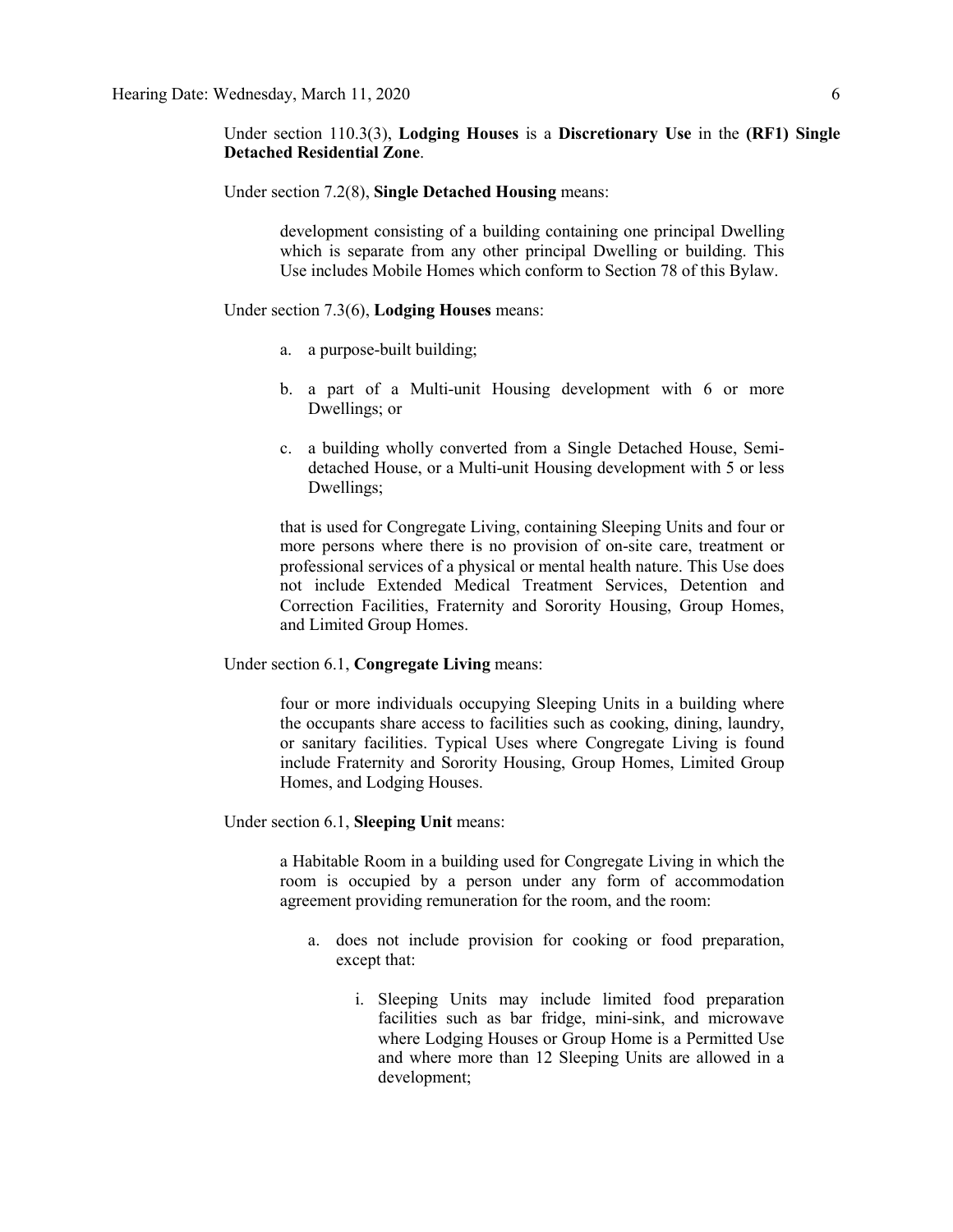Under section 110.3(3), **Lodging Houses** is a **Discretionary Use** in the **(RF1) Single Detached Residential Zone**.

Under section 7.2(8), **Single Detached Housing** means:

development consisting of a building containing one principal Dwelling which is separate from any other principal Dwelling or building. This Use includes Mobile Homes which conform to Section 78 of this Bylaw.

Under section 7.3(6), **Lodging Houses** means:

- a. a purpose-built building;
- b. a part of a Multi-unit Housing development with 6 or more Dwellings; or
- c. a building wholly converted from a Single Detached House, Semidetached House, or a Multi-unit Housing development with 5 or less Dwellings;

that is used for Congregate Living, containing Sleeping Units and four or more persons where there is no provision of on-site care, treatment or professional services of a physical or mental health nature. This Use does not include Extended Medical Treatment Services, Detention and Correction Facilities, Fraternity and Sorority Housing, Group Homes, and Limited Group Homes.

Under section 6.1, **Congregate Living** means:

four or more individuals occupying Sleeping Units in a building where the occupants share access to facilities such as cooking, dining, laundry, or sanitary facilities. Typical Uses where Congregate Living is found include Fraternity and Sorority Housing, Group Homes, Limited Group Homes, and Lodging Houses.

Under section 6.1, **Sleeping Unit** means:

a Habitable Room in a building used for Congregate Living in which the room is occupied by a person under any form of accommodation agreement providing remuneration for the room, and the room:

- a. does not include provision for cooking or food preparation, except that:
	- i. Sleeping Units may include limited food preparation facilities such as bar fridge, mini-sink, and microwave where Lodging Houses or Group Home is a Permitted Use and where more than 12 Sleeping Units are allowed in a development;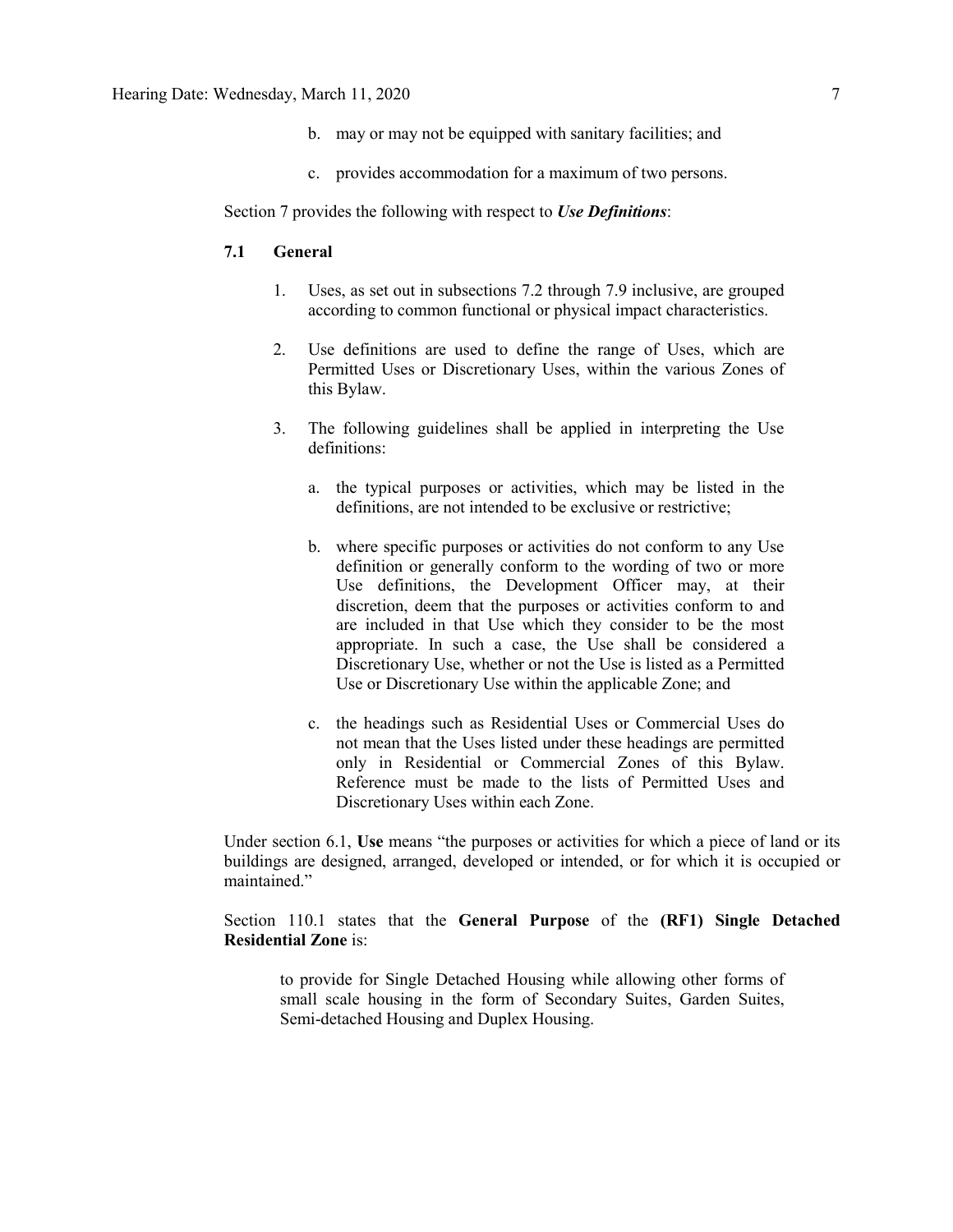- b. may or may not be equipped with sanitary facilities; and
- c. provides accommodation for a maximum of two persons.

Section 7 provides the following with respect to *Use Definitions*:

### **7.1 General**

- 1. Uses, as set out in subsections 7.2 through 7.9 inclusive, are grouped according to common functional or physical impact characteristics.
- 2. Use definitions are used to define the range of Uses, which are Permitted Uses or Discretionary Uses, within the various Zones of this Bylaw.
- 3. The following guidelines shall be applied in interpreting the Use definitions:
	- a. the typical purposes or activities, which may be listed in the definitions, are not intended to be exclusive or restrictive;
	- b. where specific purposes or activities do not conform to any Use definition or generally conform to the wording of two or more Use definitions, the Development Officer may, at their discretion, deem that the purposes or activities conform to and are included in that Use which they consider to be the most appropriate. In such a case, the Use shall be considered a Discretionary Use, whether or not the Use is listed as a Permitted Use or Discretionary Use within the applicable Zone; and
	- c. the headings such as Residential Uses or Commercial Uses do not mean that the Uses listed under these headings are permitted only in Residential or Commercial Zones of this Bylaw. Reference must be made to the lists of Permitted Uses and Discretionary Uses within each Zone.

Under section 6.1, **Use** means "the purposes or activities for which a piece of land or its buildings are designed, arranged, developed or intended, or for which it is occupied or maintained."

Section 110.1 states that the **General Purpose** of the **(RF1) Single Detached Residential Zone** is:

to provide for Single Detached Housing while allowing other forms of small scale housing in the form of Secondary Suites, Garden Suites, Semi-detached Housing and Duplex Housing.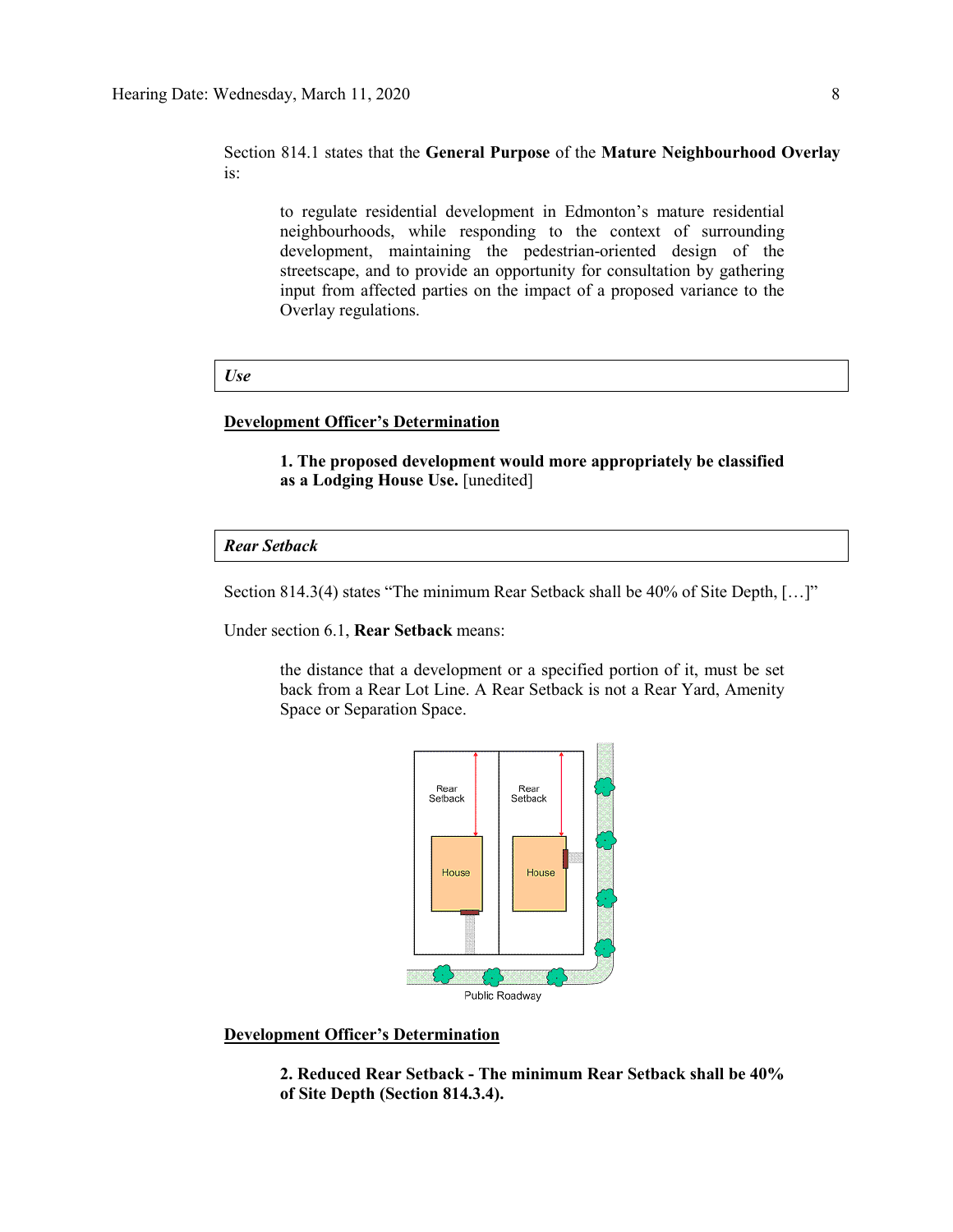### Section 814.1 states that the **General Purpose** of the **Mature Neighbourhood Overlay** is:

to regulate residential development in Edmonton's mature residential neighbourhoods, while responding to the context of surrounding development, maintaining the pedestrian-oriented design of the streetscape, and to provide an opportunity for consultation by gathering input from affected parties on the impact of a proposed variance to the Overlay regulations.

### *Use*

### **Development Officer's Determination**

**1. The proposed development would more appropriately be classified as a Lodging House Use.** [unedited]

*Rear Setback*

Section 814.3(4) states "The minimum Rear Setback shall be 40% of Site Depth, […]"

Under section 6.1, **Rear Setback** means:

the distance that a development or a specified portion of it, must be set back from a Rear Lot Line. A Rear Setback is not a Rear Yard, Amenity Space or Separation Space.



### **Development Officer's Determination**

**2. Reduced Rear Setback - The minimum Rear Setback shall be 40% of Site Depth (Section 814.3.4).**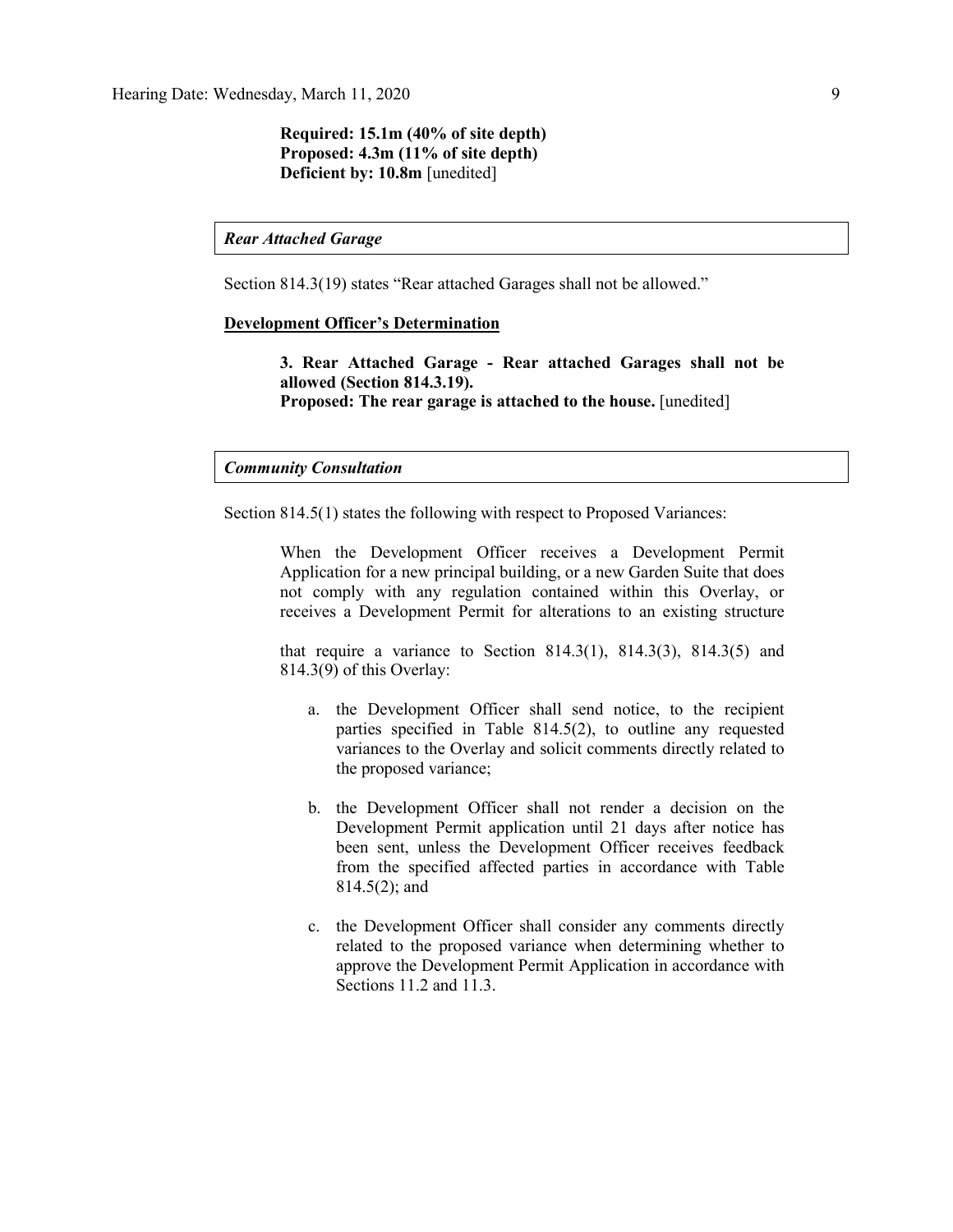**Required: 15.1m (40% of site depth) Proposed: 4.3m (11% of site depth) Deficient by: 10.8m** [unedited]

*Rear Attached Garage*

Section 814.3(19) states "Rear attached Garages shall not be allowed."

### **Development Officer's Determination**

**3. Rear Attached Garage - Rear attached Garages shall not be allowed (Section 814.3.19). Proposed: The rear garage is attached to the house.** [unedited]

### *Community Consultation*

Section 814.5(1) states the following with respect to Proposed Variances:

When the Development Officer receives a Development Permit Application for a new principal building, or a new Garden Suite that does not comply with any regulation contained within this Overlay, or receives a Development Permit for alterations to an existing structure

that require a variance to Section  $814.3(1)$ ,  $814.3(3)$ ,  $814.3(5)$  and 814.3(9) of this Overlay:

- a. the Development Officer shall send notice, to the recipient parties specified in Table 814.5(2), to outline any requested variances to the Overlay and solicit comments directly related to the proposed variance;
- b. the Development Officer shall not render a decision on the Development Permit application until 21 days after notice has been sent, unless the Development Officer receives feedback from the specified affected parties in accordance with Table 814.5(2); and
- c. the Development Officer shall consider any comments directly related to the proposed variance when determining whether to approve the Development Permit Application in accordance with Sections 11.2 and 11.3.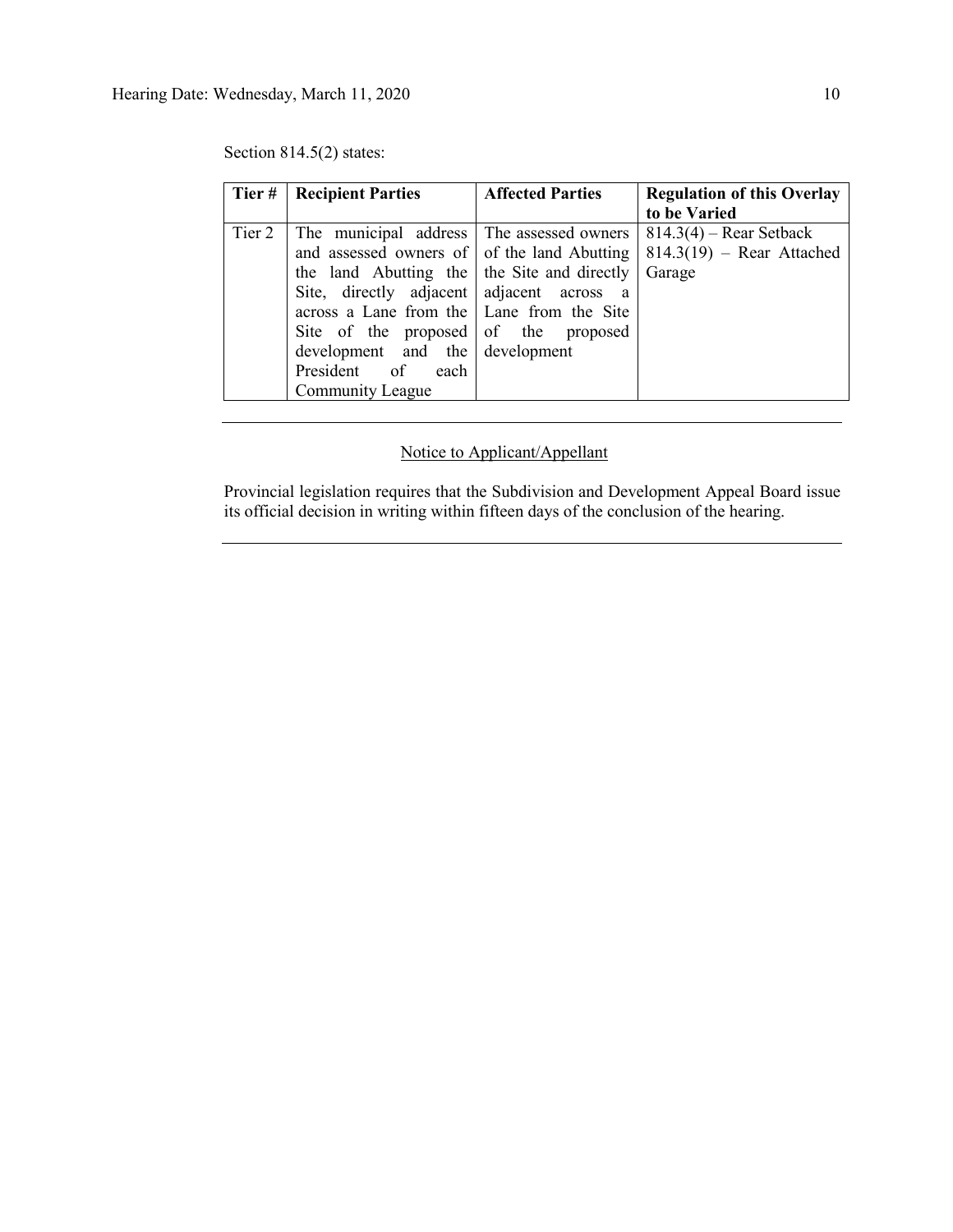| Tier # | <b>Recipient Parties</b>                                                                                                                                                                                                                                                                                       | <b>Affected Parties</b> | <b>Regulation of this Overlay</b>                                  |
|--------|----------------------------------------------------------------------------------------------------------------------------------------------------------------------------------------------------------------------------------------------------------------------------------------------------------------|-------------------------|--------------------------------------------------------------------|
|        |                                                                                                                                                                                                                                                                                                                |                         | to be Varied                                                       |
| Tier 2 | The municipal address The assessed owners<br>and assessed owners of of the land Abutting<br>the land Abutting the the Site and directly<br>Site, directly adjacent adjacent across a<br>across a Lane from the   Lane from the Site<br>Site of the proposed of the proposed<br>development and the development |                         | $814.3(4)$ – Rear Setback<br>$814.3(19)$ – Rear Attached<br>Garage |
|        | President of each<br><b>Community League</b>                                                                                                                                                                                                                                                                   |                         |                                                                    |

Section 814.5(2) states:

## Notice to Applicant/Appellant

Provincial legislation requires that the Subdivision and Development Appeal Board issue its official decision in writing within fifteen days of the conclusion of the hearing.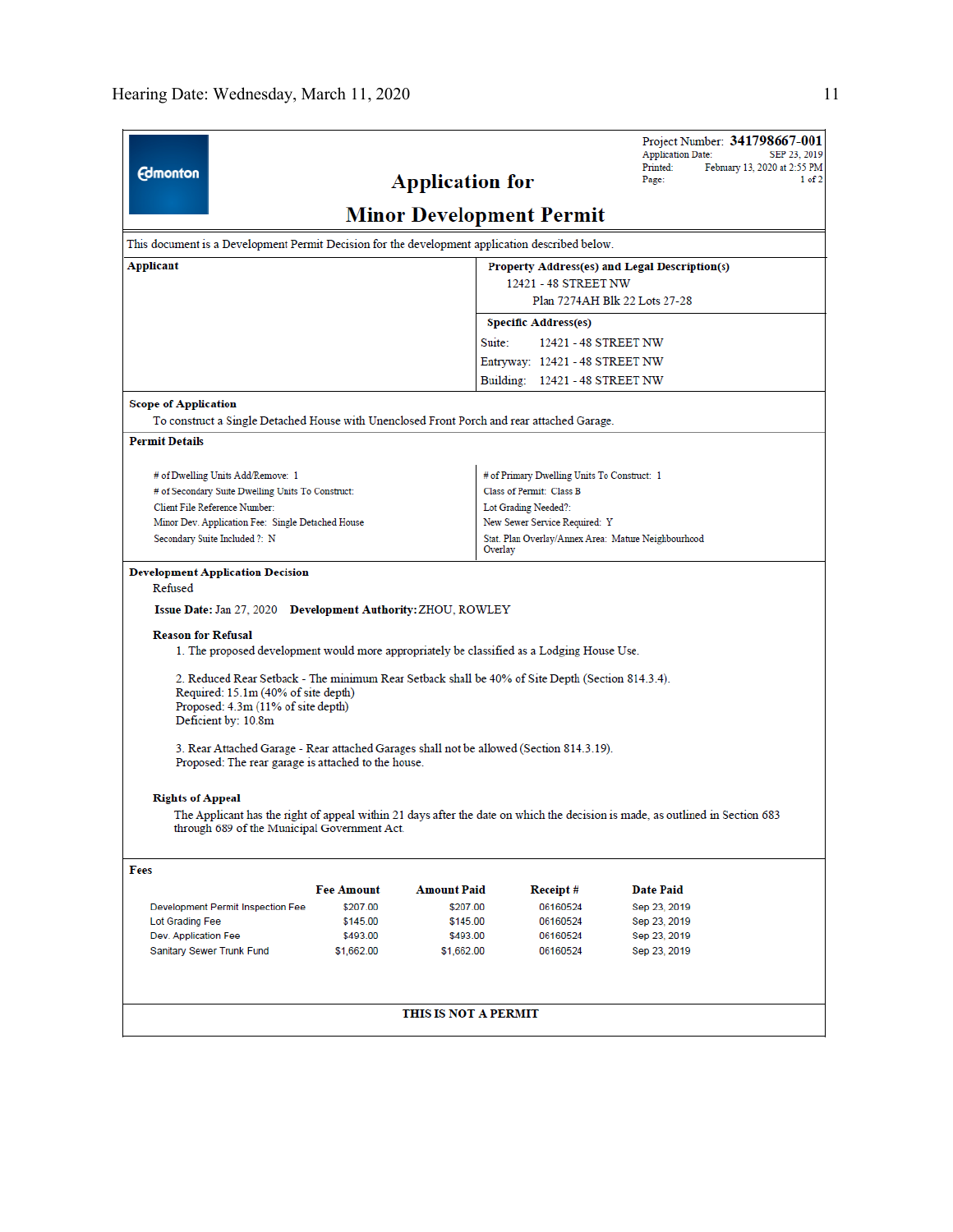|                                                                         |                                                                                                                                                                                                                                                                                                                                                                                                                                                                                                                                                                                                                                                                                                        |                   |                                 |                                                                |                      | <b>Application Date:</b> |  | Project Number: 341798667-001<br>SEP 23, 2019 |
|-------------------------------------------------------------------------|--------------------------------------------------------------------------------------------------------------------------------------------------------------------------------------------------------------------------------------------------------------------------------------------------------------------------------------------------------------------------------------------------------------------------------------------------------------------------------------------------------------------------------------------------------------------------------------------------------------------------------------------------------------------------------------------------------|-------------------|---------------------------------|----------------------------------------------------------------|----------------------|--------------------------|--|-----------------------------------------------|
| <b>Edmonton</b>                                                         |                                                                                                                                                                                                                                                                                                                                                                                                                                                                                                                                                                                                                                                                                                        |                   |                                 |                                                                |                      | Printed:                 |  | February 13, 2020 at 2:55 PM                  |
|                                                                         |                                                                                                                                                                                                                                                                                                                                                                                                                                                                                                                                                                                                                                                                                                        |                   | <b>Application for</b>          |                                                                |                      | Page:                    |  | 1 of 2                                        |
|                                                                         |                                                                                                                                                                                                                                                                                                                                                                                                                                                                                                                                                                                                                                                                                                        |                   | <b>Minor Development Permit</b> |                                                                |                      |                          |  |                                               |
|                                                                         | This document is a Development Permit Decision for the development application described below.                                                                                                                                                                                                                                                                                                                                                                                                                                                                                                                                                                                                        |                   |                                 |                                                                |                      |                          |  |                                               |
| Applicant                                                               |                                                                                                                                                                                                                                                                                                                                                                                                                                                                                                                                                                                                                                                                                                        |                   |                                 | Property Address(es) and Legal Description(s)                  |                      |                          |  |                                               |
|                                                                         |                                                                                                                                                                                                                                                                                                                                                                                                                                                                                                                                                                                                                                                                                                        |                   |                                 |                                                                | 12421 - 48 STREET NW |                          |  |                                               |
|                                                                         |                                                                                                                                                                                                                                                                                                                                                                                                                                                                                                                                                                                                                                                                                                        |                   |                                 | Plan 7274AH Blk 22 Lots 27-28                                  |                      |                          |  |                                               |
|                                                                         |                                                                                                                                                                                                                                                                                                                                                                                                                                                                                                                                                                                                                                                                                                        |                   |                                 | <b>Specific Address(es)</b>                                    |                      |                          |  |                                               |
|                                                                         |                                                                                                                                                                                                                                                                                                                                                                                                                                                                                                                                                                                                                                                                                                        |                   |                                 | Suite:<br>12421 - 48 STREET NW                                 |                      |                          |  |                                               |
|                                                                         |                                                                                                                                                                                                                                                                                                                                                                                                                                                                                                                                                                                                                                                                                                        |                   |                                 | Entryway: 12421 - 48 STREET NW                                 |                      |                          |  |                                               |
|                                                                         |                                                                                                                                                                                                                                                                                                                                                                                                                                                                                                                                                                                                                                                                                                        |                   |                                 | Building: 12421 - 48 STREET NW                                 |                      |                          |  |                                               |
| <b>Scope of Application</b>                                             |                                                                                                                                                                                                                                                                                                                                                                                                                                                                                                                                                                                                                                                                                                        |                   |                                 |                                                                |                      |                          |  |                                               |
|                                                                         | To construct a Single Detached House with Unenclosed Front Porch and rear attached Garage.                                                                                                                                                                                                                                                                                                                                                                                                                                                                                                                                                                                                             |                   |                                 |                                                                |                      |                          |  |                                               |
| <b>Permit Details</b>                                                   |                                                                                                                                                                                                                                                                                                                                                                                                                                                                                                                                                                                                                                                                                                        |                   |                                 |                                                                |                      |                          |  |                                               |
|                                                                         | # of Dwelling Units Add/Remove: 1                                                                                                                                                                                                                                                                                                                                                                                                                                                                                                                                                                                                                                                                      |                   |                                 | # of Primary Dwelling Units To Construct: 1                    |                      |                          |  |                                               |
|                                                                         | # of Secondary Suite Dwelling Units To Construct:                                                                                                                                                                                                                                                                                                                                                                                                                                                                                                                                                                                                                                                      |                   |                                 | Class of Permit: Class B                                       |                      |                          |  |                                               |
|                                                                         | Client File Reference Number:                                                                                                                                                                                                                                                                                                                                                                                                                                                                                                                                                                                                                                                                          |                   |                                 | Lot Grading Needed?:                                           |                      |                          |  |                                               |
|                                                                         | Minor Dev. Application Fee: Single Detached House                                                                                                                                                                                                                                                                                                                                                                                                                                                                                                                                                                                                                                                      |                   |                                 | New Sewer Service Required: Y                                  |                      |                          |  |                                               |
|                                                                         | Secondary Suite Included ?: N                                                                                                                                                                                                                                                                                                                                                                                                                                                                                                                                                                                                                                                                          |                   |                                 | Stat. Plan Overlay/Annex Area: Mature Neighbourhood<br>Overlay |                      |                          |  |                                               |
| Refused<br><b>Reason for Refusal</b><br><b>Rights of Appeal</b><br>Fees | Issue Date: Jan 27, 2020 Development Authority: ZHOU, ROWLEY<br>1. The proposed development would more appropriately be classified as a Lodging House Use.<br>2. Reduced Rear Setback - The minimum Rear Setback shall be 40% of Site Depth (Section 814.3.4).<br>Required: 15.1m (40% of site depth)<br>Proposed: 4.3m (11% of site depth)<br>Deficient by: 10.8m<br>3. Rear Attached Garage - Rear attached Garages shall not be allowed (Section 814.3.19).<br>Proposed: The rear garage is attached to the house.<br>The Applicant has the right of appeal within 21 days after the date on which the decision is made, as outlined in Section 683<br>through 689 of the Municipal Government Act. |                   |                                 |                                                                |                      |                          |  |                                               |
|                                                                         |                                                                                                                                                                                                                                                                                                                                                                                                                                                                                                                                                                                                                                                                                                        | <b>Fee Amount</b> | <b>Amount Paid</b>              |                                                                |                      | <b>Date Paid</b>         |  |                                               |
|                                                                         | Development Permit Inspection Fee                                                                                                                                                                                                                                                                                                                                                                                                                                                                                                                                                                                                                                                                      | \$207.00          | \$207.00                        | Receipt#<br>06160524                                           |                      | Sep 23, 2019             |  |                                               |
| Lot Grading Fee                                                         |                                                                                                                                                                                                                                                                                                                                                                                                                                                                                                                                                                                                                                                                                                        | \$145.00          | \$145.00                        | 06160524                                                       |                      | Sep 23, 2019             |  |                                               |
| Dev. Application Fee                                                    |                                                                                                                                                                                                                                                                                                                                                                                                                                                                                                                                                                                                                                                                                                        | \$493.00          | \$493.00                        | 06160524                                                       |                      | Sep 23, 2019             |  |                                               |
|                                                                         | Sanitary Sewer Trunk Fund                                                                                                                                                                                                                                                                                                                                                                                                                                                                                                                                                                                                                                                                              | \$1,662.00        | \$1,662.00                      | 06160524                                                       |                      | Sep 23, 2019             |  |                                               |
|                                                                         |                                                                                                                                                                                                                                                                                                                                                                                                                                                                                                                                                                                                                                                                                                        |                   | THIS IS NOT A PERMIT            |                                                                |                      |                          |  |                                               |
|                                                                         |                                                                                                                                                                                                                                                                                                                                                                                                                                                                                                                                                                                                                                                                                                        |                   |                                 |                                                                |                      |                          |  |                                               |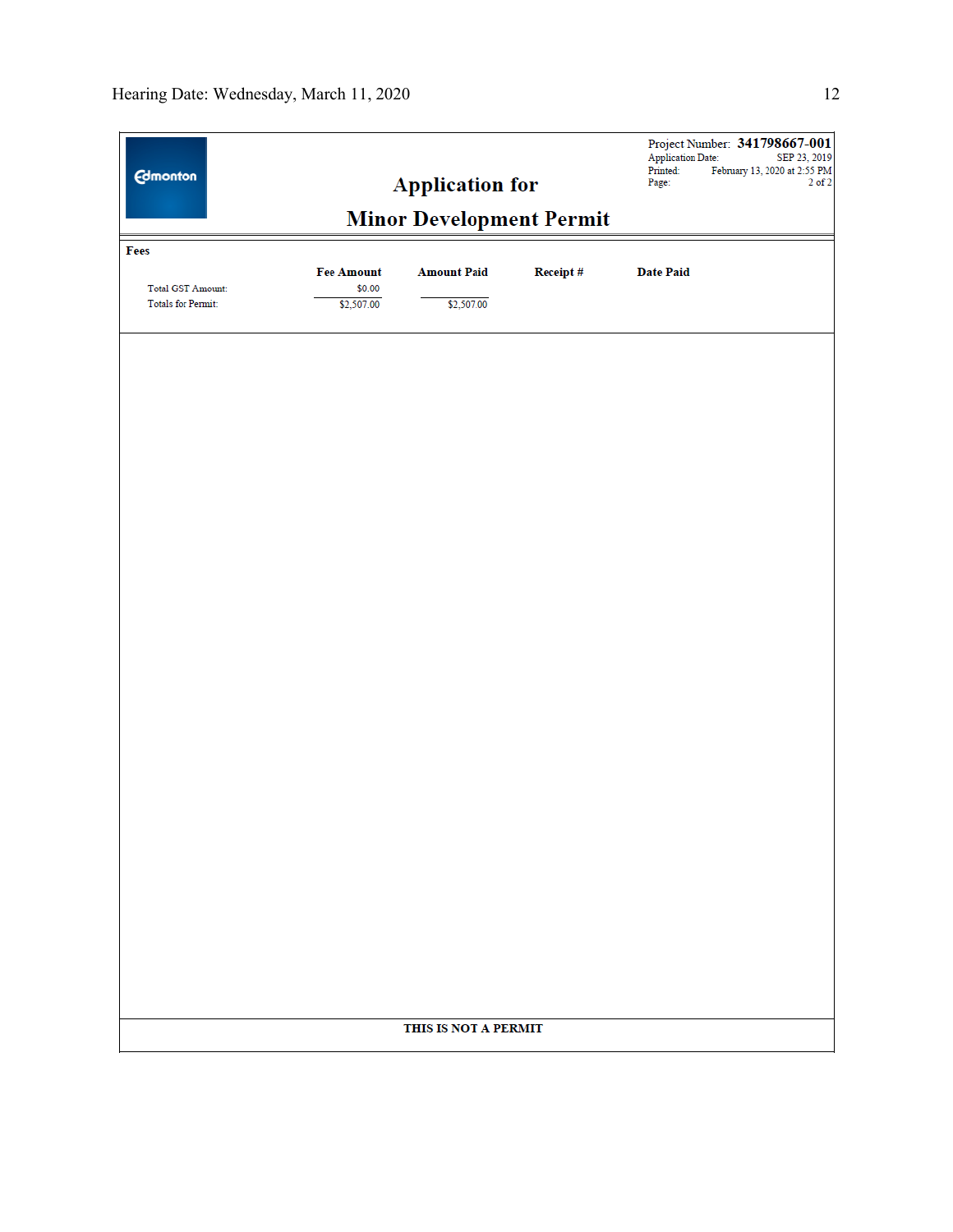| <b>Edmonton</b>           |                             | <b>Application for</b>          |          | <b>Application Date:</b><br>Printed:<br>Page: | Project Number: 341798667-001<br>SEP 23, 2019<br>February 13, 2020 at 2:55 PM<br>$2$ of $2$ |
|---------------------------|-----------------------------|---------------------------------|----------|-----------------------------------------------|---------------------------------------------------------------------------------------------|
|                           |                             | <b>Minor Development Permit</b> |          |                                               |                                                                                             |
| Fees                      |                             |                                 |          |                                               |                                                                                             |
| <b>Total GST Amount:</b>  | <b>Fee Amount</b><br>\$0.00 | <b>Amount Paid</b>              | Receipt# | <b>Date Paid</b>                              |                                                                                             |
| <b>Totals for Permit:</b> | \$2,507.00                  | \$2,507.00                      |          |                                               |                                                                                             |
|                           |                             |                                 |          |                                               |                                                                                             |
|                           |                             |                                 |          |                                               |                                                                                             |
|                           |                             |                                 |          |                                               |                                                                                             |
|                           |                             |                                 |          |                                               |                                                                                             |
|                           |                             |                                 |          |                                               |                                                                                             |
|                           |                             |                                 |          |                                               |                                                                                             |
|                           |                             |                                 |          |                                               |                                                                                             |
|                           |                             |                                 |          |                                               |                                                                                             |
|                           |                             |                                 |          |                                               |                                                                                             |
|                           |                             |                                 |          |                                               |                                                                                             |
|                           |                             |                                 |          |                                               |                                                                                             |
|                           |                             |                                 |          |                                               |                                                                                             |
|                           |                             |                                 |          |                                               |                                                                                             |
|                           |                             |                                 |          |                                               |                                                                                             |
|                           |                             |                                 |          |                                               |                                                                                             |
|                           |                             |                                 |          |                                               |                                                                                             |
|                           |                             |                                 |          |                                               |                                                                                             |
|                           |                             |                                 |          |                                               |                                                                                             |
|                           |                             |                                 |          |                                               |                                                                                             |
|                           |                             |                                 |          |                                               |                                                                                             |
|                           |                             |                                 |          |                                               |                                                                                             |
|                           |                             |                                 |          |                                               |                                                                                             |
|                           |                             | THIS IS NOT A PERMIT            |          |                                               |                                                                                             |
|                           |                             |                                 |          |                                               |                                                                                             |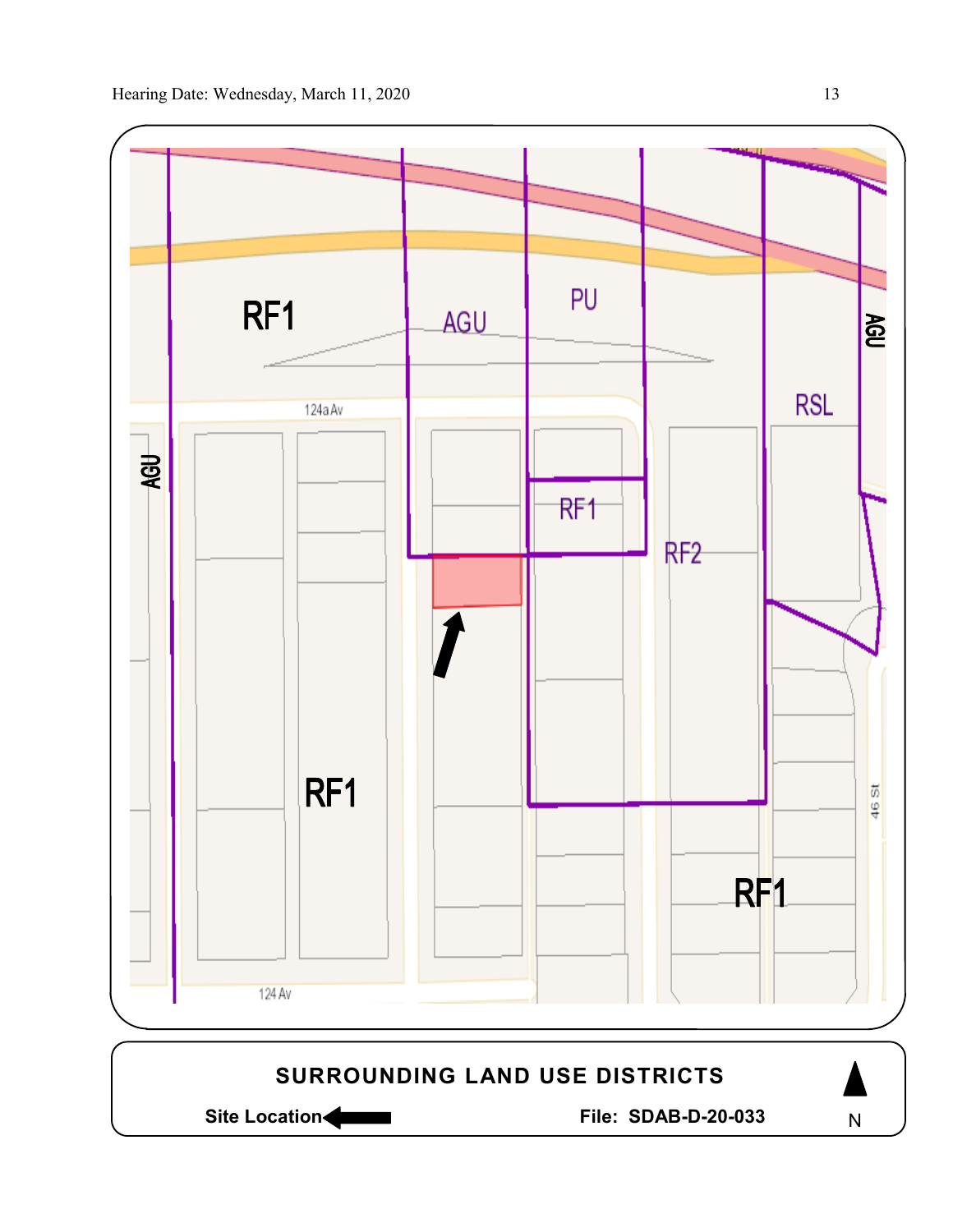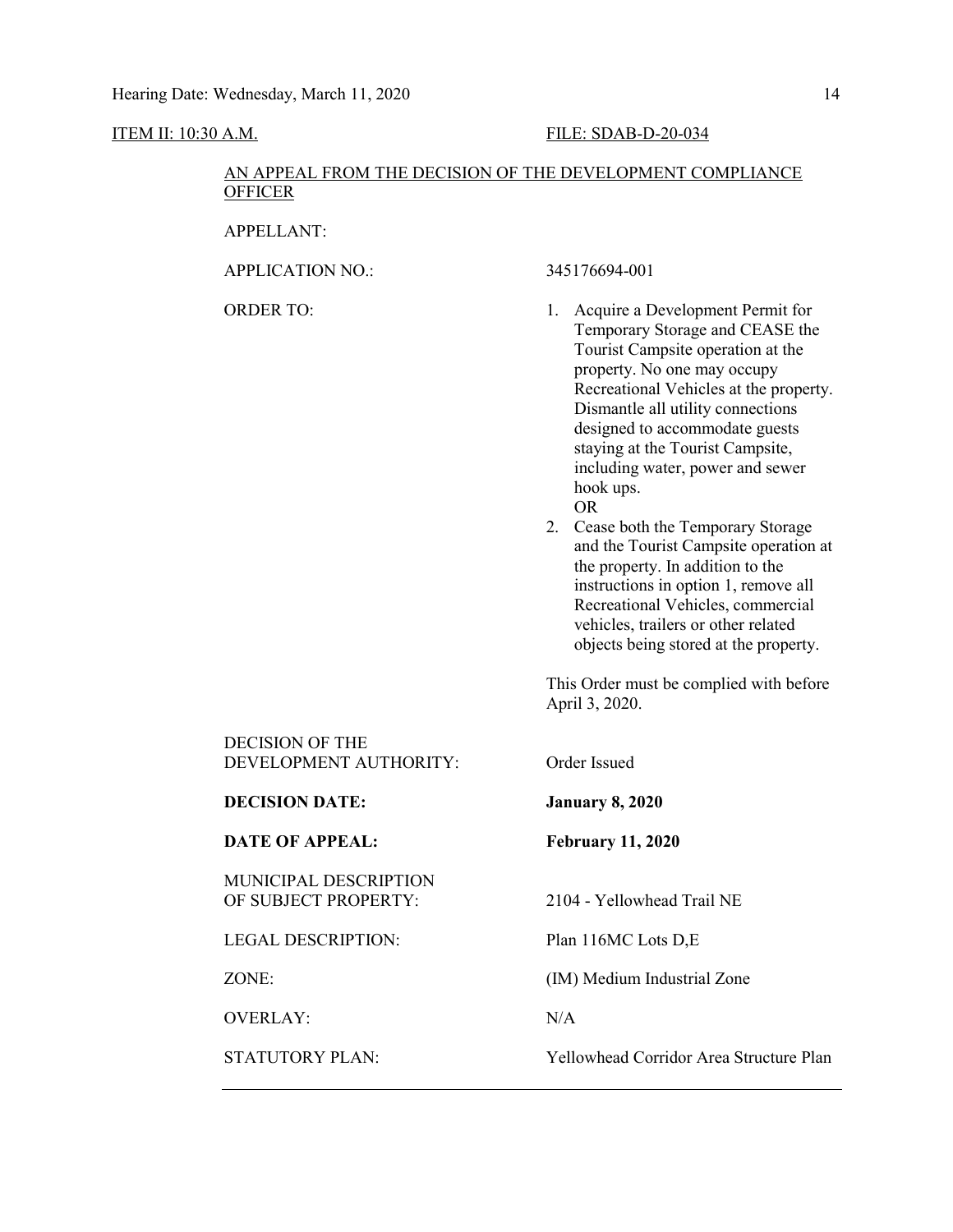### ITEM II: 10:30 A.M. FILE: SDAB-D-20-034

### AN APPEAL FROM THE DECISION OF THE DEVELOPMENT COMPLIANCE **OFFICER**

APPELLANT:

APPLICATION NO.: 345176694-001

- ORDER TO: 1. Acquire a Development Permit for Temporary Storage and CEASE the Tourist Campsite operation at the property. No one may occupy Recreational Vehicles at the property. Dismantle all utility connections designed to accommodate guests staying at the Tourist Campsite, including water, power and sewer hook ups. OR
	- 2. Cease both the Temporary Storage and the Tourist Campsite operation at the property. In addition to the instructions in option 1, remove all Recreational Vehicles, commercial vehicles, trailers or other related objects being stored at the property.

This Order must be complied with before April 3, 2020.

| <b>DECISION OF THE</b><br>DEVELOPMENT AUTHORITY:     | Order Issued                            |
|------------------------------------------------------|-----------------------------------------|
| <b>DECISION DATE:</b>                                | <b>January 8, 2020</b>                  |
| <b>DATE OF APPEAL:</b>                               | <b>February 11, 2020</b>                |
| <b>MUNICIPAL DESCRIPTION</b><br>OF SUBJECT PROPERTY: | 2104 - Yellowhead Trail NE              |
| <b>LEGAL DESCRIPTION:</b>                            | Plan 116MC Lots D,E                     |
| ZONE <sup>.</sup>                                    | (IM) Medium Industrial Zone             |
| <b>OVERLAY:</b>                                      | N/A                                     |
| <b>STATUTORY PLAN:</b>                               | Yellowhead Corridor Area Structure Plan |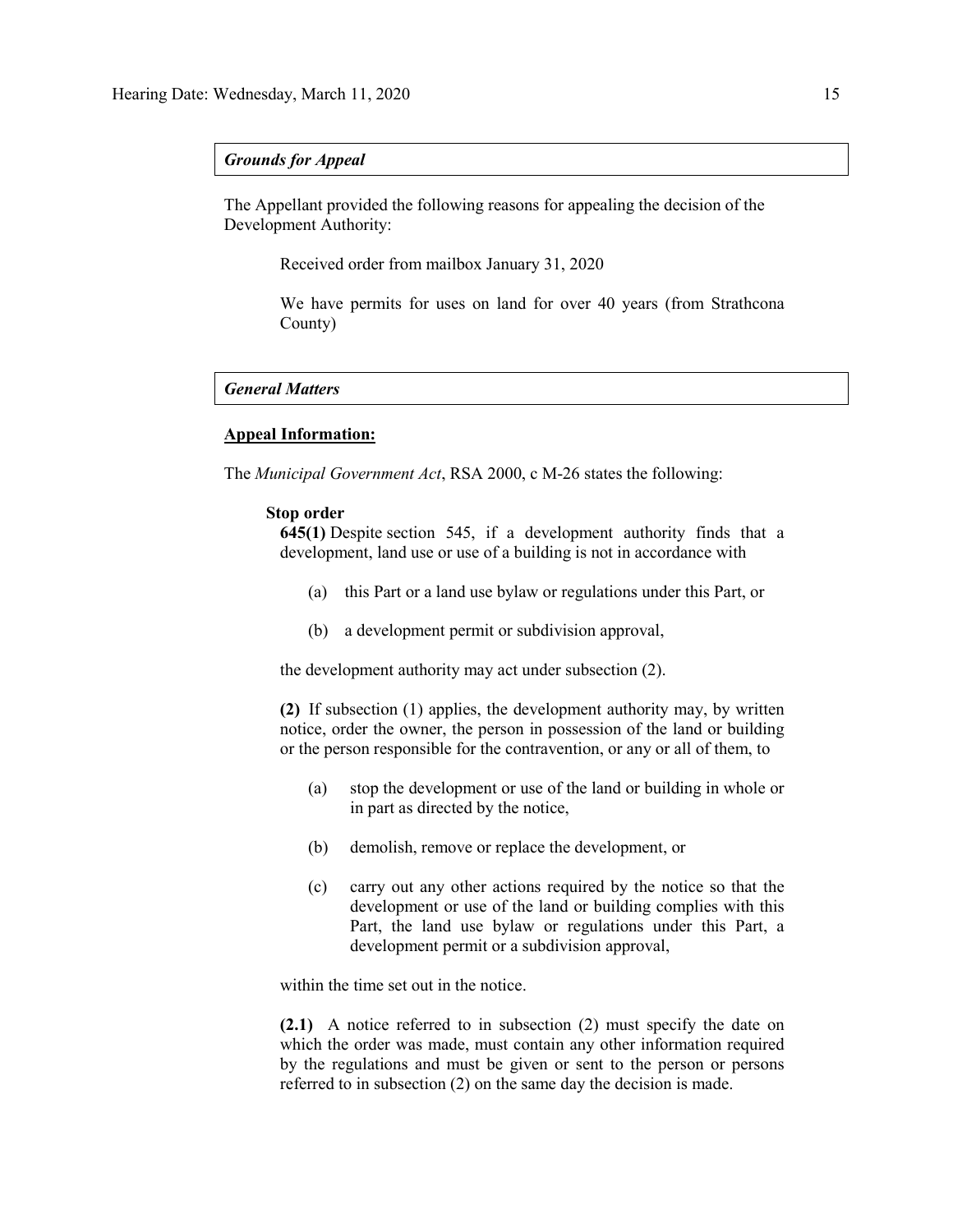### *Grounds for Appeal*

The Appellant provided the following reasons for appealing the decision of the Development Authority:

Received order from mailbox January 31, 2020

We have permits for uses on land for over 40 years (from Strathcona County)

### *General Matters*

### **Appeal Information:**

The *Municipal Government Act*, RSA 2000, c M-26 states the following:

### **Stop order**

**645(1)** Despite [section 545,](https://www.canlii.org/en/ab/laws/stat/rsa-2000-c-m-26/latest/rsa-2000-c-m-26.html#sec545_smooth) if a development authority finds that a development, land use or use of a building is not in accordance with

- (a) this Part or a land use bylaw or regulations under this Part, or
- (b) a development permit or subdivision approval,

the development authority may act under subsection (2).

**(2)** If subsection (1) applies, the development authority may, by written notice, order the owner, the person in possession of the land or building or the person responsible for the contravention, or any or all of them, to

- (a) stop the development or use of the land or building in whole or in part as directed by the notice,
- (b) demolish, remove or replace the development, or
- (c) carry out any other actions required by the notice so that the development or use of the land or building complies with this Part, the land use bylaw or regulations under this Part, a development permit or a subdivision approval,

within the time set out in the notice.

**(2.1)** A notice referred to in subsection (2) must specify the date on which the order was made, must contain any other information required by the regulations and must be given or sent to the person or persons referred to in subsection (2) on the same day the decision is made.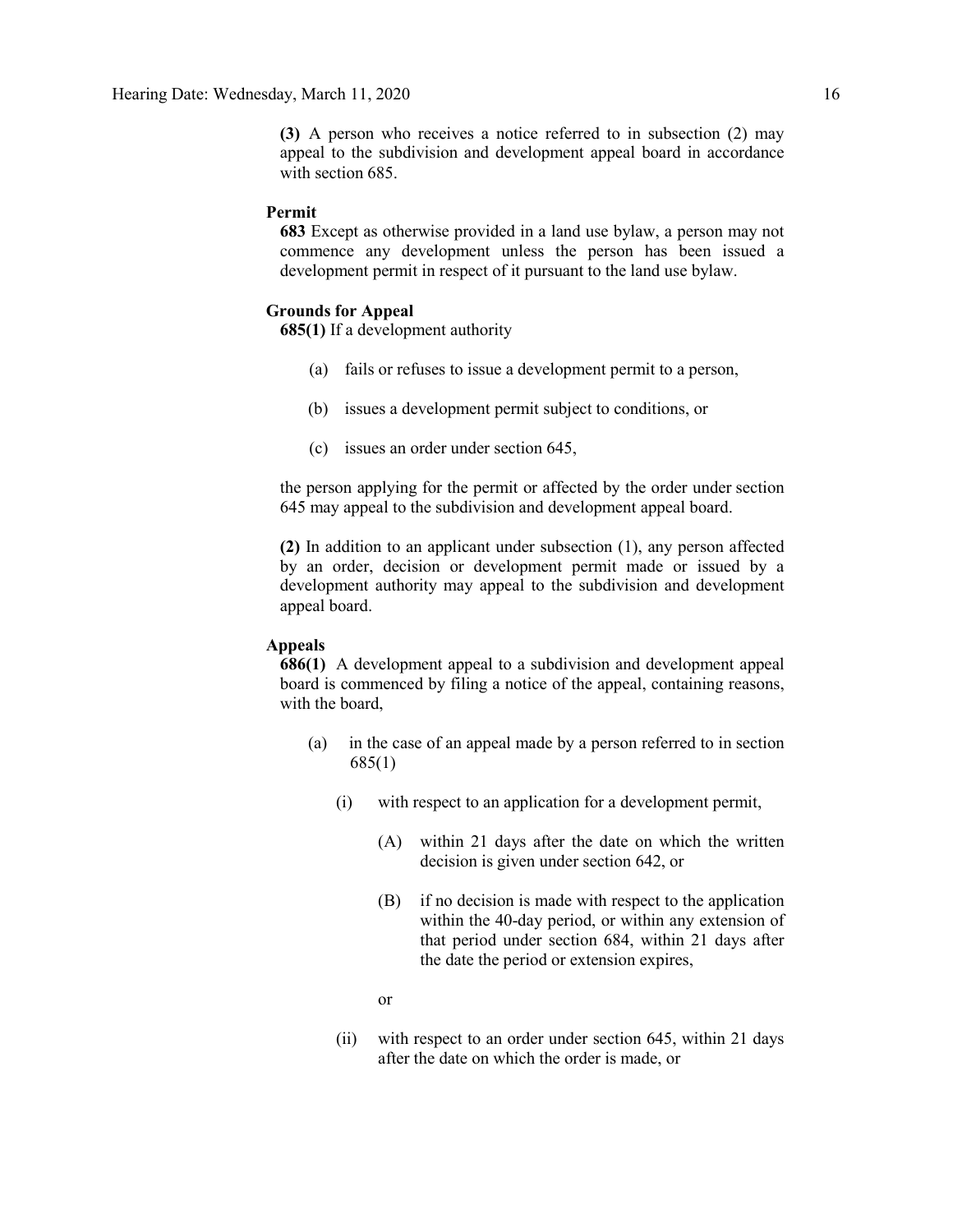**(3)** A person who receives a notice referred to in subsection (2) may appeal to the subdivision and development appeal board in accordance with [section 685.](https://www.canlii.org/en/ab/laws/stat/rsa-2000-c-m-26/latest/rsa-2000-c-m-26.html#sec685_smooth)

### **Permit**

**683** Except as otherwise provided in a land use bylaw, a person may not commence any development unless the person has been issued a development permit in respect of it pursuant to the land use bylaw.

### **Grounds for Appeal**

**685(1)** If a development authority

- (a) fails or refuses to issue a development permit to a person,
- (b) issues a development permit subject to conditions, or
- (c) issues an order under section 645,

the person applying for the permit or affected by the order under section 645 may appeal to the subdivision and development appeal board.

**(2)** In addition to an applicant under subsection (1), any person affected by an order, decision or development permit made or issued by a development authority may appeal to the subdivision and development appeal board.

### **Appeals**

**686(1)** A development appeal to a subdivision and development appeal board is commenced by filing a notice of the appeal, containing reasons, with the board,

- (a) in the case of an appeal made by a person referred to in section 685(1)
	- (i) with respect to an application for a development permit,
		- (A) within 21 days after the date on which the written decision is given under section 642, or
		- (B) if no decision is made with respect to the application within the 40-day period, or within any extension of that period under section 684, within 21 days after the date the period or extension expires,
		- or
	- (ii) with respect to an order under section 645, within 21 days after the date on which the order is made, or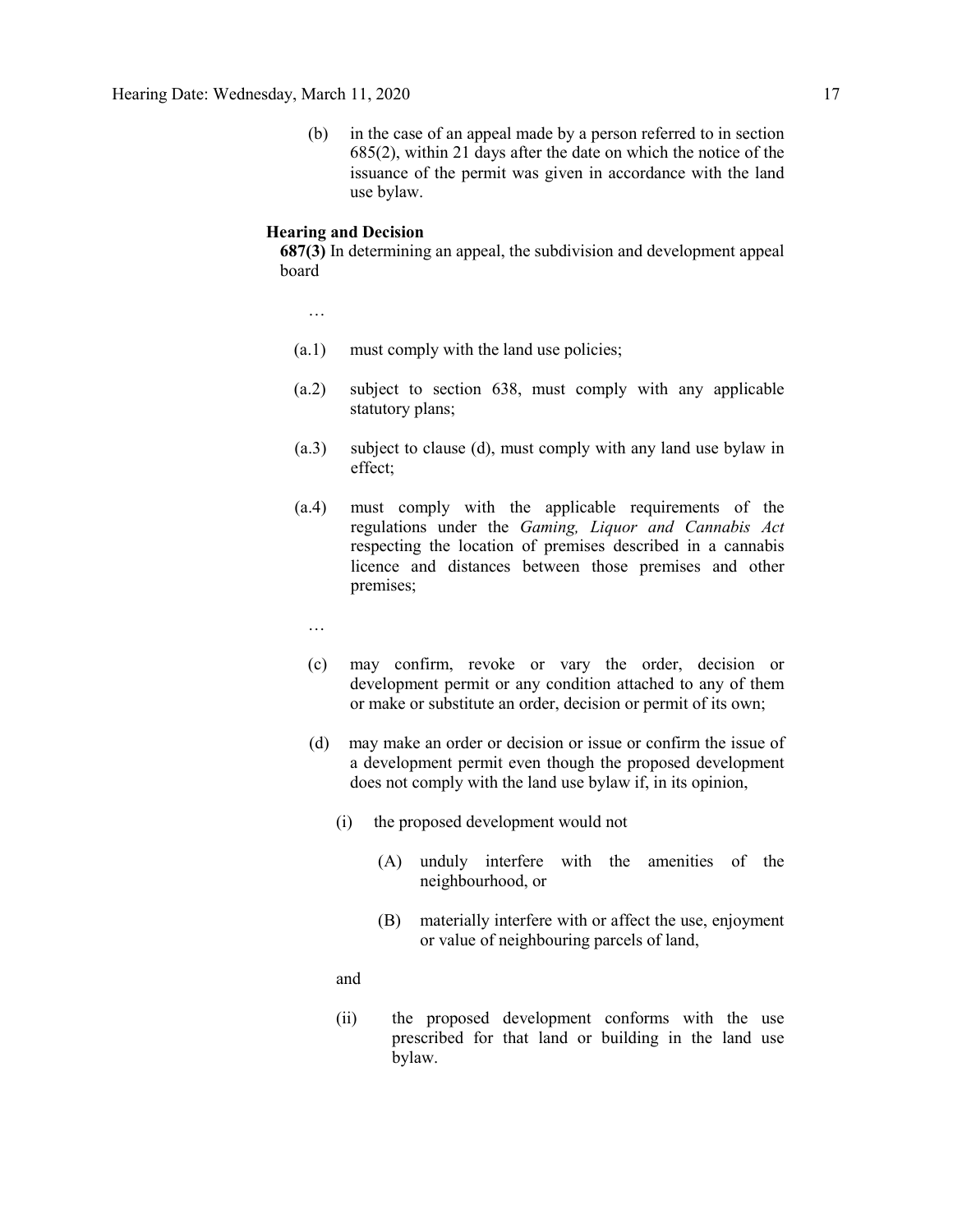(b) in the case of an appeal made by a person referred to in section 685(2), within 21 days after the date on which the notice of the issuance of the permit was given in accordance with the land use bylaw.

### **Hearing and Decision**

**687(3)** In determining an appeal, the subdivision and development appeal board

…

- (a.1) must comply with the land use policies;
- (a.2) subject to section 638, must comply with any applicable statutory plans;
- (a.3) subject to clause (d), must comply with any land use bylaw in effect;
- (a.4) must comply with the applicable requirements of the regulations under the *Gaming, Liquor and Cannabis Act* respecting the location of premises described in a cannabis licence and distances between those premises and other premises;
	- …
	- (c) may confirm, revoke or vary the order, decision or development permit or any condition attached to any of them or make or substitute an order, decision or permit of its own;
	- (d) may make an order or decision or issue or confirm the issue of a development permit even though the proposed development does not comply with the land use bylaw if, in its opinion,
		- (i) the proposed development would not
			- (A) unduly interfere with the amenities of the neighbourhood, or
			- (B) materially interfere with or affect the use, enjoyment or value of neighbouring parcels of land,

and

(ii) the proposed development conforms with the use prescribed for that land or building in the land use bylaw.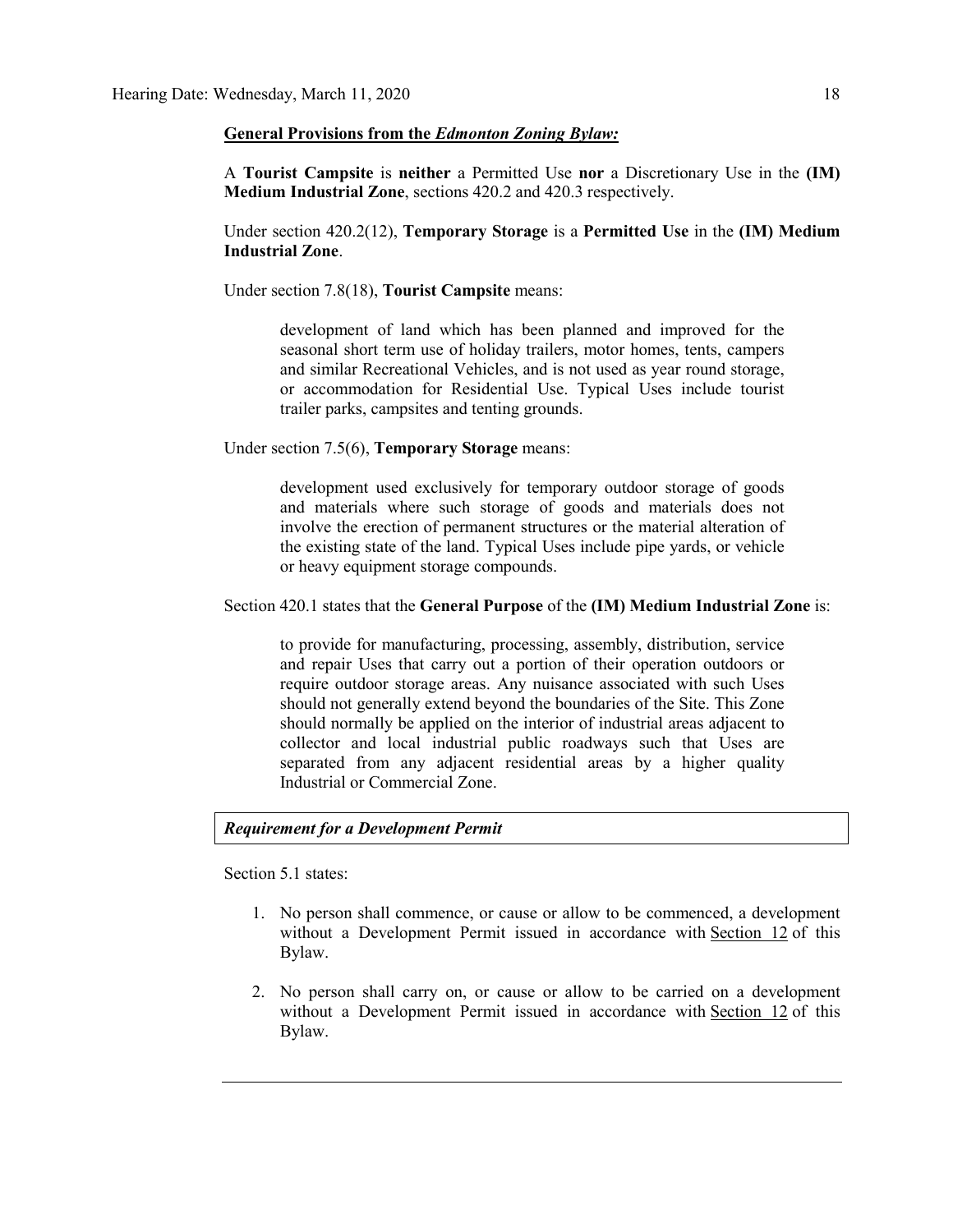### **General Provisions from the** *Edmonton Zoning Bylaw:*

A **Tourist Campsite** is **neither** a Permitted Use **nor** a Discretionary Use in the **(IM) Medium Industrial Zone**, sections 420.2 and 420.3 respectively.

Under section 420.2(12), **Temporary Storage** is a **Permitted Use** in the **(IM) Medium Industrial Zone**.

Under section 7.8(18), **Tourist Campsite** means:

development of land which has been planned and improved for the seasonal short term use of holiday trailers, motor homes, tents, campers and similar Recreational Vehicles, and is not used as year round storage, or accommodation for Residential Use. Typical Uses include tourist trailer parks, campsites and tenting grounds.

Under section 7.5(6), **Temporary Storage** means:

development used exclusively for temporary outdoor storage of goods and materials where such storage of goods and materials does not involve the erection of permanent structures or the material alteration of the existing state of the land. Typical Uses include pipe yards, or vehicle or heavy equipment storage compounds.

### Section 420.1 states that the **General Purpose** of the **(IM) Medium Industrial Zone** is:

to provide for manufacturing, processing, assembly, distribution, service and repair Uses that carry out a portion of their operation outdoors or require outdoor storage areas. Any nuisance associated with such Uses should not generally extend beyond the boundaries of the Site. This Zone should normally be applied on the interior of industrial areas adjacent to collector and local industrial public roadways such that Uses are separated from any adjacent residential areas by a higher quality Industrial or Commercial Zone.

### *Requirement for a Development Permit*

Section 5.1 states:

- 1. No person shall commence, or cause or allow to be commenced, a development without a Development Permit issued in accordance with [Section 12](https://webdocs.edmonton.ca/InfraPlan/zoningbylaw/ZoningBylaw/Part1/Administrative/12__Development_Classes.htm) of this Bylaw.
- 2. No person shall carry on, or cause or allow to be carried on a development without a Development Permit issued in accordance with [Section 12](https://webdocs.edmonton.ca/InfraPlan/zoningbylaw/ZoningBylaw/Part1/Administrative/12__Development_Classes.htm) of this Bylaw.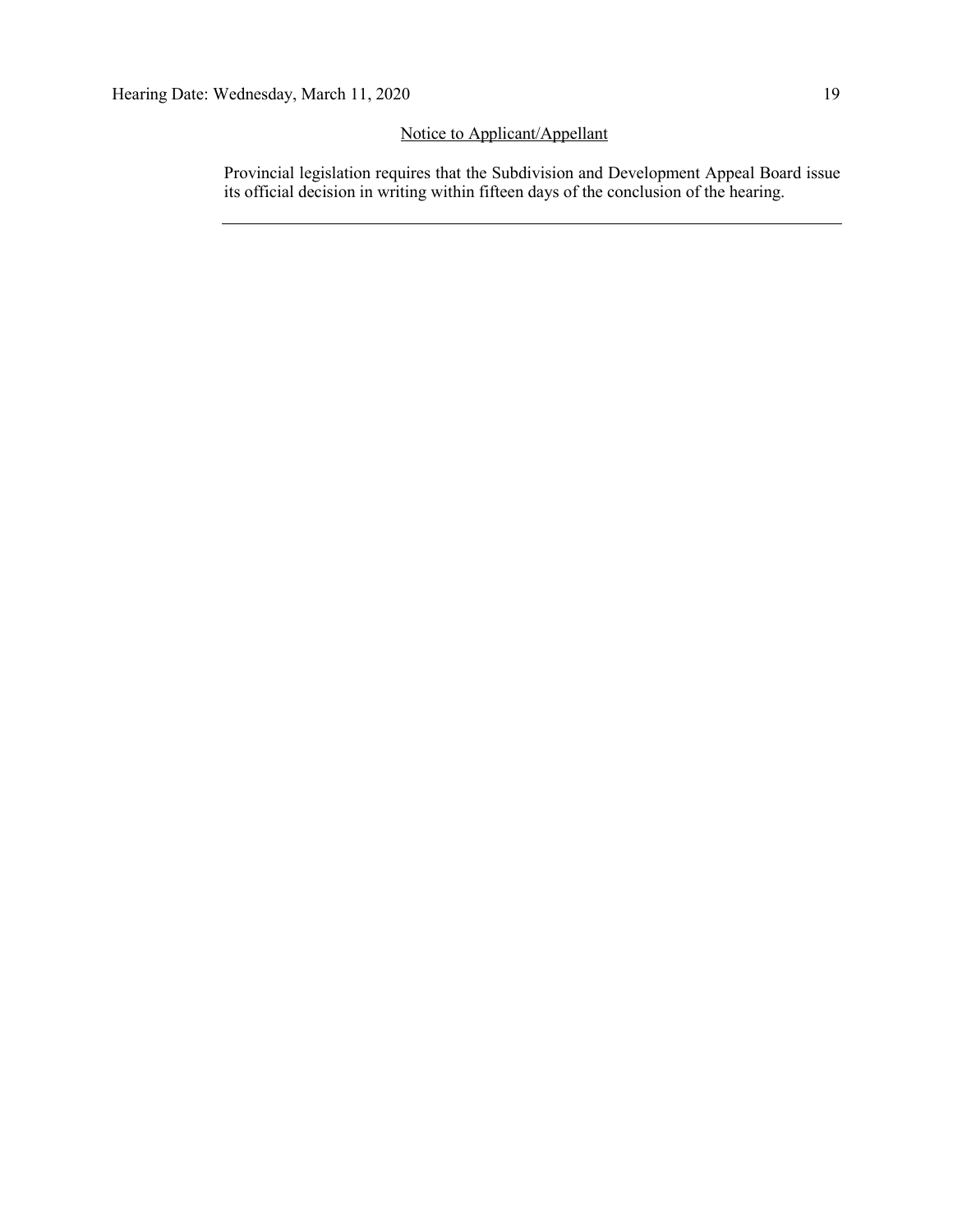## Notice to Applicant/Appellant

Provincial legislation requires that the Subdivision and Development Appeal Board issue its official decision in writing within fifteen days of the conclusion of the hearing.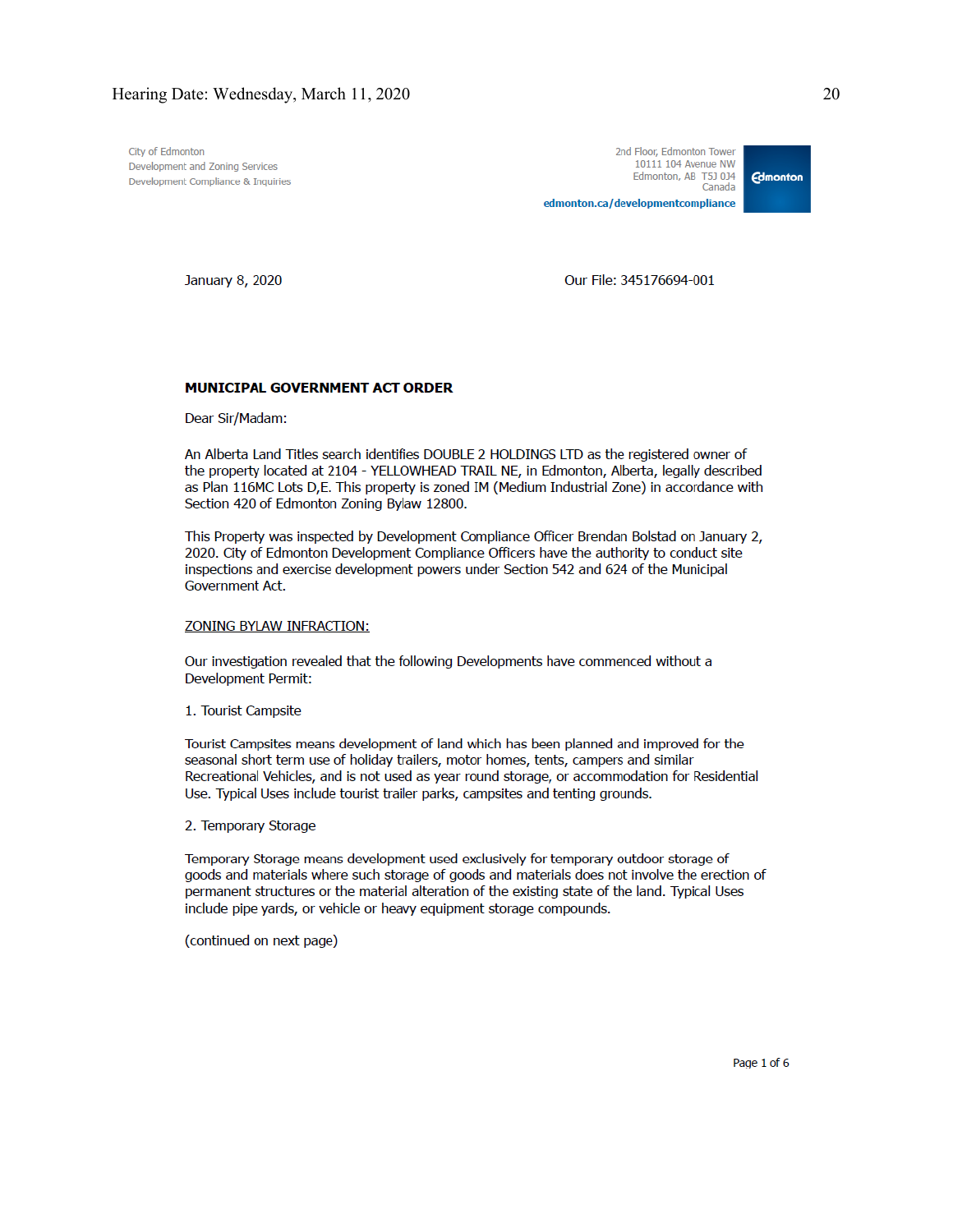City of Edmonton Development and Zoning Services Development Compliance & Inquiries

January 8, 2020

Our File: 345176694-001

### MUNICIPAL GOVERNMENT ACT ORDER

Dear Sir/Madam:

An Alberta Land Titles search identifies DOUBLE 2 HOLDINGS LTD as the registered owner of the property located at 2104 - YELLOWHEAD TRAIL NE, in Edmonton, Alberta, legally described as Plan 116MC Lots D,E. This property is zoned IM (Medium Industrial Zone) in accordance with Section 420 of Edmonton Zoning Bylaw 12800.

This Property was inspected by Development Compliance Officer Brendan Bolstad on January 2, 2020. City of Edmonton Development Compliance Officers have the authority to conduct site inspections and exercise development powers under Section 542 and 624 of the Municipal Government Act.

### **ZONING BYLAW INFRACTION:**

Our investigation revealed that the following Developments have commenced without a Development Permit:

1. Tourist Campsite

Tourist Campsites means development of land which has been planned and improved for the seasonal short term use of holiday trailers, motor homes, tents, campers and similar Recreational Vehicles, and is not used as year round storage, or accommodation for Residential Use. Typical Uses include tourist trailer parks, campsites and tenting grounds.

2. Temporary Storage

Temporary Storage means development used exclusively for temporary outdoor storage of goods and materials where such storage of goods and materials does not involve the erection of permanent structures or the material alteration of the existing state of the land. Typical Uses include pipe yards, or vehicle or heavy equipment storage compounds.

(continued on next page)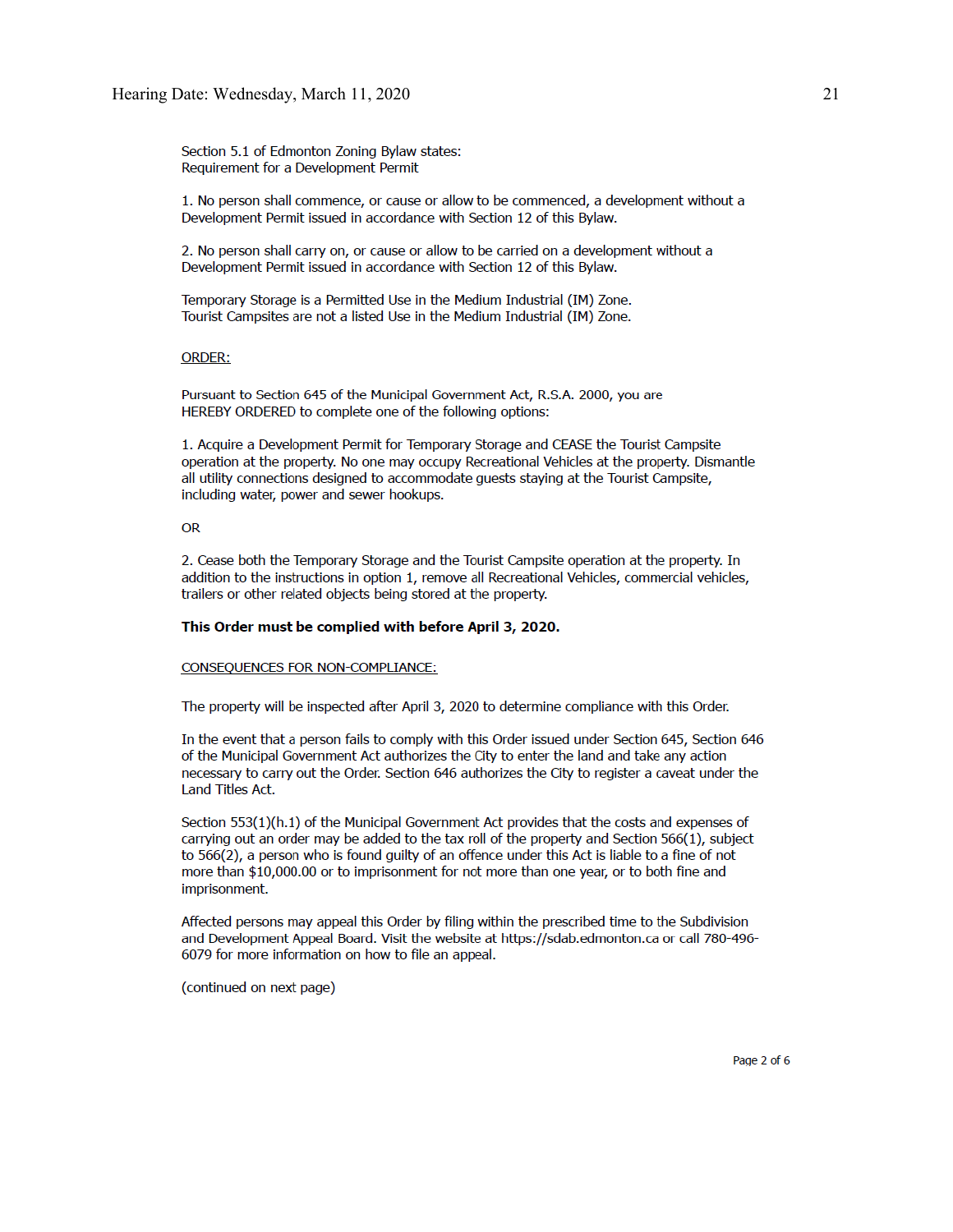Section 5.1 of Edmonton Zoning Bylaw states: Requirement for a Development Permit

1. No person shall commence, or cause or allow to be commenced, a development without a Development Permit issued in accordance with Section 12 of this Bylaw.

2. No person shall carry on, or cause or allow to be carried on a development without a Development Permit issued in accordance with Section 12 of this Bylaw.

Temporary Storage is a Permitted Use in the Medium Industrial (IM) Zone. Tourist Campsites are not a listed Use in the Medium Industrial (IM) Zone.

### **ORDER:**

Pursuant to Section 645 of the Municipal Government Act, R.S.A. 2000, you are HEREBY ORDERED to complete one of the following options:

1. Acquire a Development Permit for Temporary Storage and CEASE the Tourist Campsite operation at the property. No one may occupy Recreational Vehicles at the property. Dismantle all utility connections designed to accommodate guests staying at the Tourist Campsite, including water, power and sewer hookups.

### **OR**

2. Cease both the Temporary Storage and the Tourist Campsite operation at the property. In addition to the instructions in option 1, remove all Recreational Vehicles, commercial vehicles, trailers or other related objects being stored at the property.

### This Order must be complied with before April 3, 2020.

### CONSEQUENCES FOR NON-COMPLIANCE:

The property will be inspected after April 3, 2020 to determine compliance with this Order.

In the event that a person fails to comply with this Order issued under Section 645, Section 646 of the Municipal Government Act authorizes the City to enter the land and take any action necessary to carry out the Order. Section 646 authorizes the City to register a caveat under the Land Titles Act.

Section 553(1)(h.1) of the Municipal Government Act provides that the costs and expenses of carrying out an order may be added to the tax roll of the property and Section 566(1), subject to 566(2), a person who is found guilty of an offence under this Act is liable to a fine of not more than \$10,000.00 or to imprisonment for not more than one year, or to both fine and imprisonment.

Affected persons may appeal this Order by filing within the prescribed time to the Subdivision and Development Appeal Board. Visit the website at https://sdab.edmonton.ca or call 780-496-6079 for more information on how to file an appeal.

(continued on next page)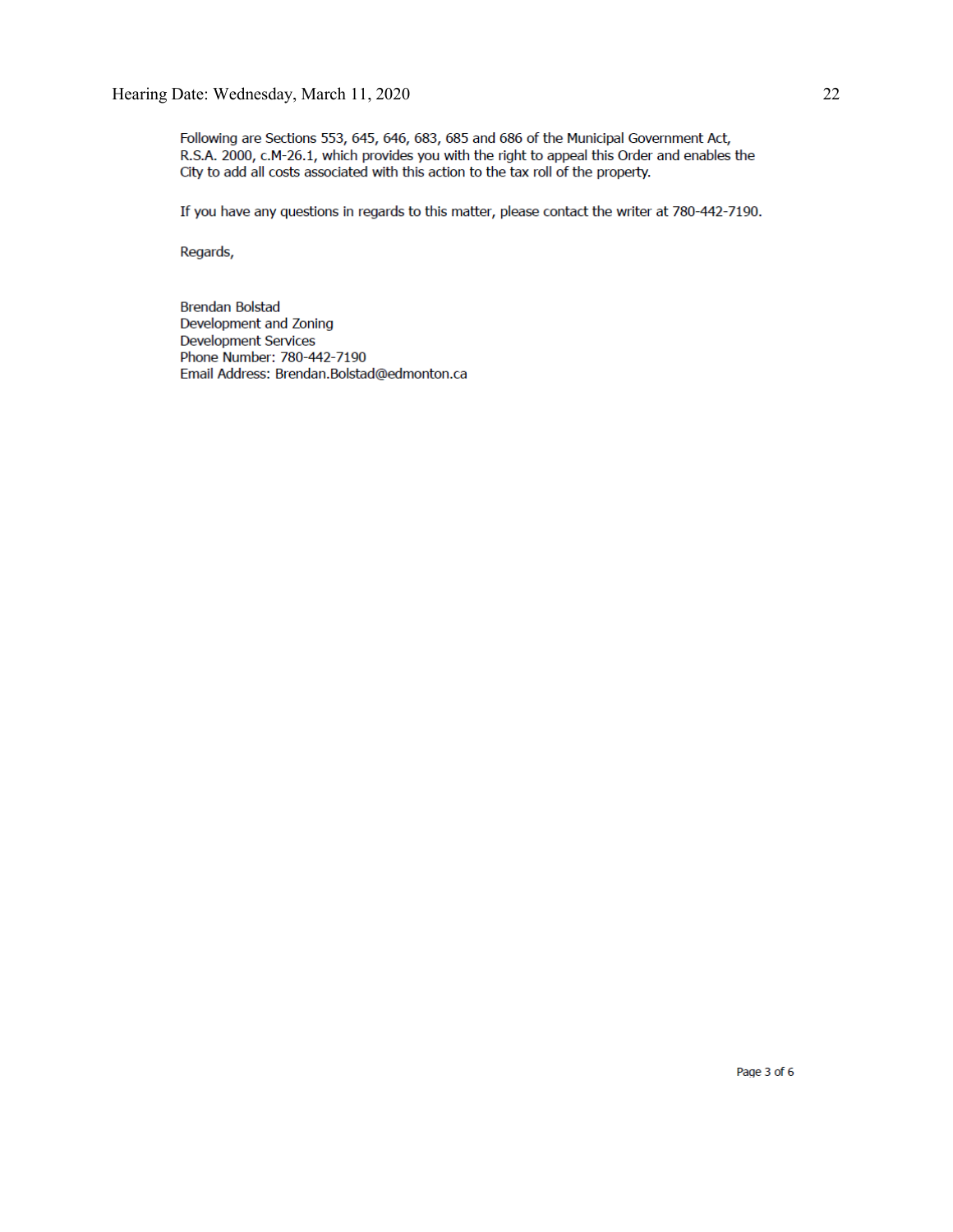Following are Sections 553, 645, 646, 683, 685 and 686 of the Municipal Government Act, R.S.A. 2000, c.M-26.1, which provides you with the right to appeal this Order and enables the City to add all costs associated with this action to the tax roll of the property.

If you have any questions in regards to this matter, please contact the writer at 780-442-7190.

Regards,

**Brendan Bolstad** Development and Zoning **Development Services** Phone Number: 780-442-7190 Email Address: Brendan.Bolstad@edmonton.ca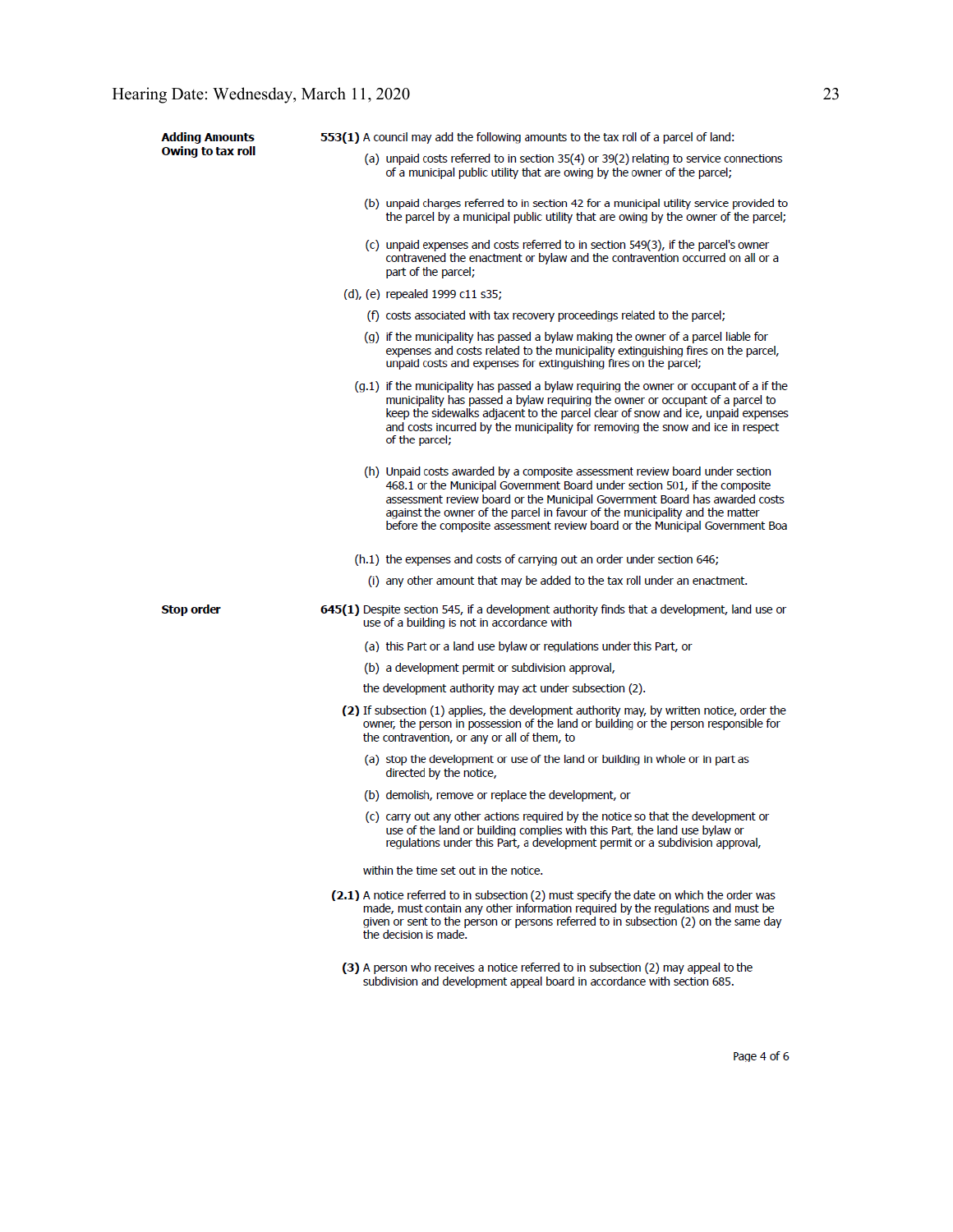| <b>Adding Amounts</b> | 553(1) A council may add the following amounts to the tax roll of a parcel of land:                                                                                                                                                                                                                                                                                                                         |  |  |  |
|-----------------------|-------------------------------------------------------------------------------------------------------------------------------------------------------------------------------------------------------------------------------------------------------------------------------------------------------------------------------------------------------------------------------------------------------------|--|--|--|
| Owing to tax roll     | (a) unpaid costs referred to in section 35(4) or 39(2) relating to service connections<br>of a municipal public utility that are owing by the owner of the parcel;                                                                                                                                                                                                                                          |  |  |  |
|                       | (b) unpaid charges referred to in section 42 for a municipal utility service provided to<br>the parcel by a municipal public utility that are owing by the owner of the parcel;                                                                                                                                                                                                                             |  |  |  |
|                       | (c) unpaid expenses and costs referred to in section 549(3), if the parcel's owner<br>contravened the enactment or bylaw and the contravention occurred on all or a<br>part of the parcel;                                                                                                                                                                                                                  |  |  |  |
|                       | (d), (e) repealed 1999 c11 s35;                                                                                                                                                                                                                                                                                                                                                                             |  |  |  |
|                       | (f) costs associated with tax recovery proceedings related to the parcel;                                                                                                                                                                                                                                                                                                                                   |  |  |  |
|                       | (q) if the municipality has passed a bylaw making the owner of a parcel liable for<br>expenses and costs related to the municipality extinguishing fires on the parcel,<br>unpaid costs and expenses for extinguishing fires on the parcel;                                                                                                                                                                 |  |  |  |
|                       | $(g.1)$ if the municipality has passed a bylaw requiring the owner or occupant of a if the<br>municipality has passed a bylaw requiring the owner or occupant of a parcel to<br>keep the sidewalks adjacent to the parcel clear of snow and ice, unpaid expenses<br>and costs incurred by the municipality for removing the snow and ice in respect<br>of the parcel;                                       |  |  |  |
|                       | (h) Unpaid costs awarded by a composite assessment review board under section<br>468.1 or the Municipal Government Board under section 501, if the composite<br>assessment review board or the Municipal Government Board has awarded costs<br>against the owner of the parcel in favour of the municipality and the matter<br>before the composite assessment review board or the Municipal Government Boa |  |  |  |
|                       | (h.1) the expenses and costs of carrying out an order under section 646;                                                                                                                                                                                                                                                                                                                                    |  |  |  |
|                       | (i) any other amount that may be added to the tax roll under an enactment.                                                                                                                                                                                                                                                                                                                                  |  |  |  |
| <b>Stop order</b>     | 645(1) Despite section 545, if a development authority finds that a development, land use or<br>use of a building is not in accordance with                                                                                                                                                                                                                                                                 |  |  |  |
|                       | (a) this Part or a land use bylaw or regulations under this Part, or                                                                                                                                                                                                                                                                                                                                        |  |  |  |
|                       | (b) a development permit or subdivision approval,                                                                                                                                                                                                                                                                                                                                                           |  |  |  |
|                       | the development authority may act under subsection (2).                                                                                                                                                                                                                                                                                                                                                     |  |  |  |
|                       | (2) If subsection (1) applies, the development authority may, by written notice, order the<br>owner, the person in possession of the land or building or the person responsible for<br>the contravention, or any or all of them, to                                                                                                                                                                         |  |  |  |
|                       | (a) stop the development or use of the land or building in whole or in part as<br>directed by the notice,                                                                                                                                                                                                                                                                                                   |  |  |  |
|                       | (b) demolish, remove or replace the development, or                                                                                                                                                                                                                                                                                                                                                         |  |  |  |
|                       | (c) carry out any other actions required by the notice so that the development or<br>use of the land or building complies with this Part, the land use bylaw or<br>regulations under this Part, a development permit or a subdivision approval,                                                                                                                                                             |  |  |  |
|                       | within the time set out in the notice.                                                                                                                                                                                                                                                                                                                                                                      |  |  |  |
|                       | (2.1) A notice referred to in subsection (2) must specify the date on which the order was<br>made, must contain any other information required by the regulations and must be<br>given or sent to the person or persons referred to in subsection (2) on the same day<br>the decision is made.                                                                                                              |  |  |  |
|                       | (3) A person who receives a notice referred to in subsection (2) may appeal to the<br>subdivision and development appeal board in accordance with section 685.                                                                                                                                                                                                                                              |  |  |  |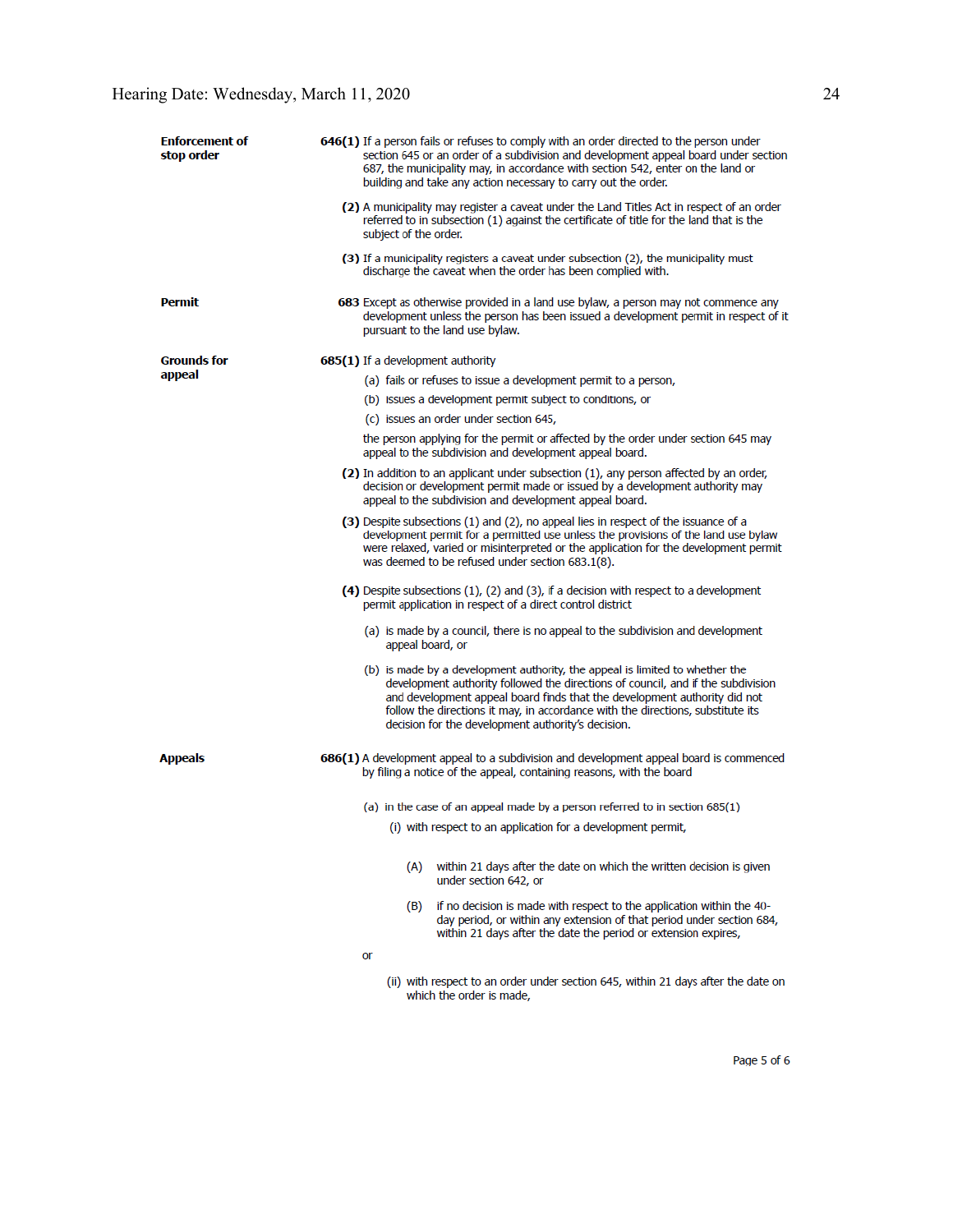| <b>Enforcement of</b><br>stop order | 646(1) If a person fails or refuses to comply with an order directed to the person under<br>section 645 or an order of a subdivision and development appeal board under section<br>687, the municipality may, in accordance with section 542, enter on the land or<br>building and take any action necessary to carry out the order.                                                   |
|-------------------------------------|----------------------------------------------------------------------------------------------------------------------------------------------------------------------------------------------------------------------------------------------------------------------------------------------------------------------------------------------------------------------------------------|
|                                     | (2) A municipality may register a caveat under the Land Titles Act in respect of an order<br>referred to in subsection (1) against the certificate of title for the land that is the<br>subject of the order.                                                                                                                                                                          |
|                                     | (3) If a municipality registers a caveat under subsection (2), the municipality must<br>discharge the caveat when the order has been complied with.                                                                                                                                                                                                                                    |
| <b>Permit</b>                       | 683 Except as otherwise provided in a land use bylaw, a person may not commence any<br>development unless the person has been issued a development permit in respect of it<br>pursuant to the land use bylaw.                                                                                                                                                                          |
| <b>Grounds for</b>                  | 685(1) If a development authority                                                                                                                                                                                                                                                                                                                                                      |
| appeal                              | (a) fails or refuses to issue a development permit to a person,                                                                                                                                                                                                                                                                                                                        |
|                                     | (b) issues a development permit subject to conditions, or                                                                                                                                                                                                                                                                                                                              |
|                                     | (c) issues an order under section 645,                                                                                                                                                                                                                                                                                                                                                 |
|                                     | the person applying for the permit or affected by the order under section 645 may<br>appeal to the subdivision and development appeal board.                                                                                                                                                                                                                                           |
|                                     | (2) In addition to an applicant under subsection (1), any person affected by an order,<br>decision or development permit made or issued by a development authority may<br>appeal to the subdivision and development appeal board.                                                                                                                                                      |
|                                     | (3) Despite subsections (1) and (2), no appeal lies in respect of the issuance of a<br>development permit for a permitted use unless the provisions of the land use bylaw<br>were relaxed, varied or misinterpreted or the application for the development permit<br>was deemed to be refused under section 683.1(8).                                                                  |
|                                     | (4) Despite subsections $(1)$ , $(2)$ and $(3)$ , if a decision with respect to a development<br>permit application in respect of a direct control district                                                                                                                                                                                                                            |
|                                     | (a) is made by a council, there is no appeal to the subdivision and development<br>appeal board, or                                                                                                                                                                                                                                                                                    |
|                                     | (b) is made by a development authority, the appeal is limited to whether the<br>development authority followed the directions of council, and if the subdivision<br>and development appeal board finds that the development authority did not<br>follow the directions it may, in accordance with the directions, substitute its<br>decision for the development authority's decision. |
| <b>Appeals</b>                      | 686(1) A development appeal to a subdivision and development appeal board is commenced<br>by filing a notice of the appeal, containing reasons, with the board                                                                                                                                                                                                                         |
|                                     | (a) in the case of an appeal made by a person referred to in section 685(1)                                                                                                                                                                                                                                                                                                            |
|                                     | (i) with respect to an application for a development permit,                                                                                                                                                                                                                                                                                                                           |
|                                     |                                                                                                                                                                                                                                                                                                                                                                                        |
|                                     | (A)<br>within 21 days after the date on which the written decision is given<br>under section 642, or                                                                                                                                                                                                                                                                                   |
|                                     | (B) if no decision is made with respect to the application within the 40-<br>day period, or within any extension of that period under section 684,<br>within 21 days after the date the period or extension expires,                                                                                                                                                                   |
|                                     | or                                                                                                                                                                                                                                                                                                                                                                                     |
|                                     | (ii) with respect to an order under section 645, within 21 days after the date on<br>which the order is made,                                                                                                                                                                                                                                                                          |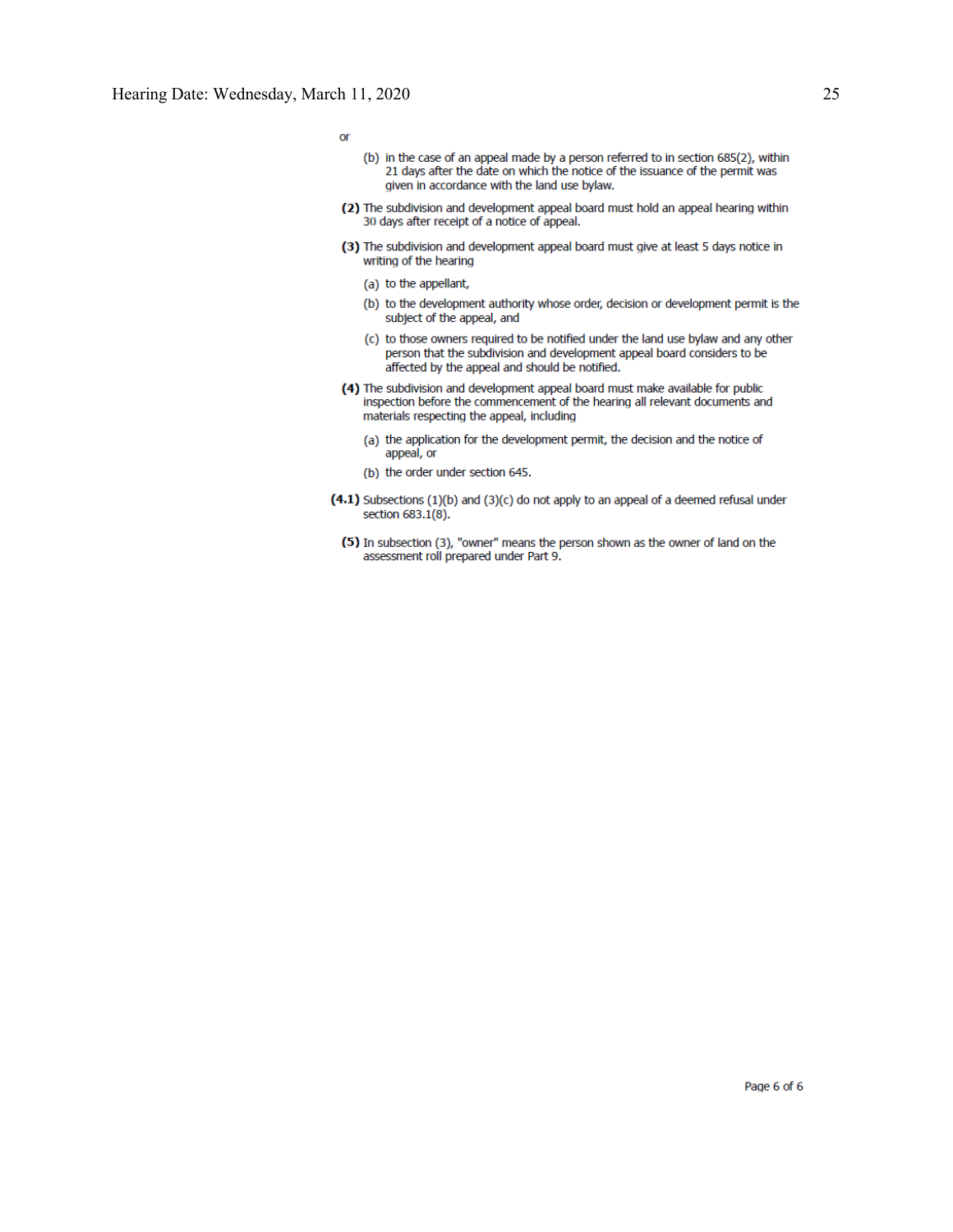$or$ 

- (b) in the case of an appeal made by a person referred to in section 685(2), within 21 days after the date on which the notice of the issuance of the permit was given in accordance with the land use bylaw.
- (2) The subdivision and development appeal board must hold an appeal hearing within 30 days after receipt of a notice of appeal.
- (3) The subdivision and development appeal board must give at least 5 days notice in writing of the hearing
	- (a) to the appellant,
	- (b) to the development authority whose order, decision or development permit is the subject of the appeal, and
	- (c) to those owners required to be notified under the land use bylaw and any other person that the subdivision and development appeal board considers to be affected by the appeal and should be notified.
- (4) The subdivision and development appeal board must make available for public inspection before the commencement of the hearing all relevant documents and materials respecting the appeal, including
	- (a) the application for the development permit, the decision and the notice of appeal, or
	- (b) the order under section 645.
- (4.1) Subsections (1)(b) and (3)(c) do not apply to an appeal of a deemed refusal under section 683.1(8).
	- (5) In subsection (3), "owner" means the person shown as the owner of land on the assessment roll prepared under Part 9.